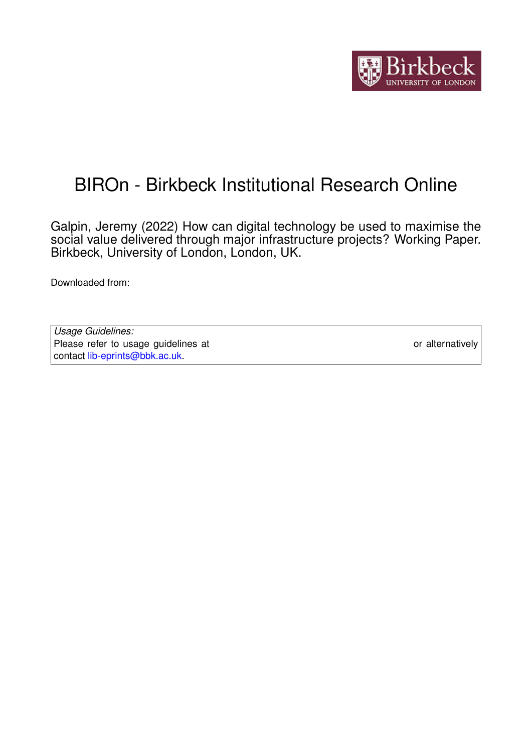

# BIROn - Birkbeck Institutional Research Online

Galpin, Jeremy (2022) How can digital technology be used to maximise the social value delivered through major infrastructure projects? Working Paper. Birkbeck, University of London, London, UK.

Downloaded from: <https://eprints.bbk.ac.uk/id/eprint/47607/>

*Usage Guidelines:* Please refer to usage guidelines at <https://eprints.bbk.ac.uk/policies.html> or alternatively contact [lib-eprints@bbk.ac.uk.](mailto:lib-eprints@bbk.ac.uk)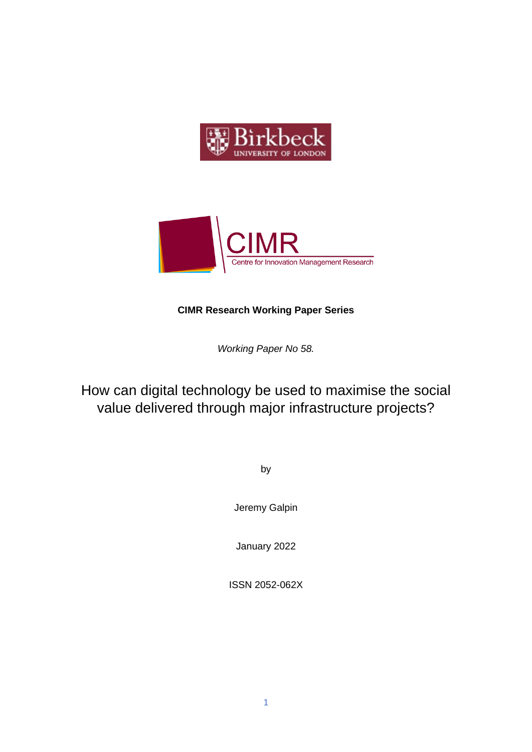



### **CIMR Research Working Paper Series**

*Working Paper No 58.* 

How can digital technology be used to maximise the social value delivered through major infrastructure projects?

by

Jeremy Galpin

January 2022

ISSN 2052-062X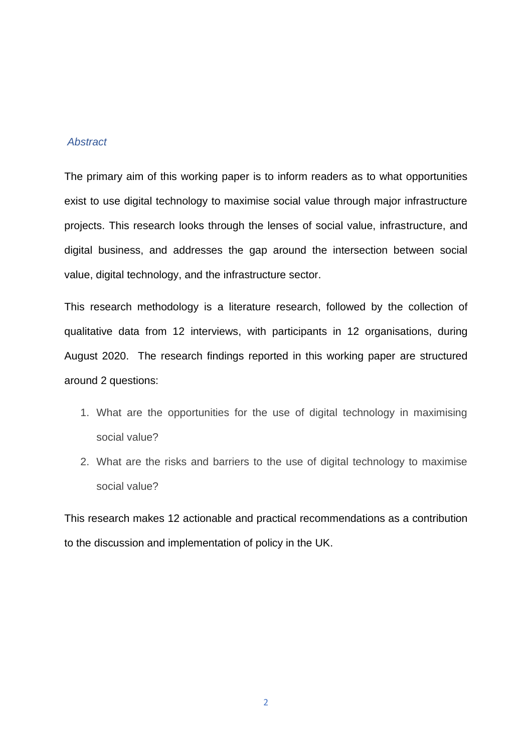### *Abstract*

The primary aim of this working paper is to inform readers as to what opportunities exist to use digital technology to maximise social value through major infrastructure projects. This research looks through the lenses of social value, infrastructure, and digital business, and addresses the gap around the intersection between social value, digital technology, and the infrastructure sector.

This research methodology is a literature research, followed by the collection of qualitative data from 12 interviews, with participants in 12 organisations, during August 2020. The research findings reported in this working paper are structured around 2 questions:

- 1. What are the opportunities for the use of digital technology in maximising social value?
- 2. What are the risks and barriers to the use of digital technology to maximise social value?

This research makes 12 actionable and practical recommendations as a contribution to the discussion and implementation of policy in the UK.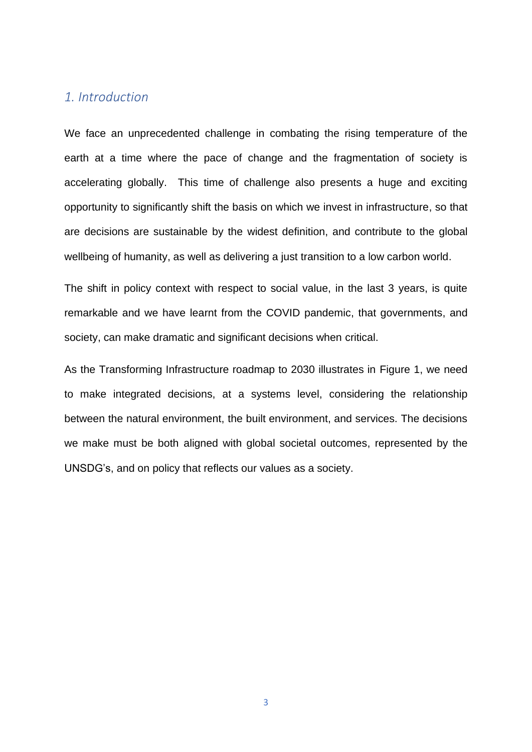### *1. Introduction*

We face an unprecedented challenge in combating the rising temperature of the earth at a time where the pace of change and the fragmentation of society is accelerating globally. This time of challenge also presents a huge and exciting opportunity to significantly shift the basis on which we invest in infrastructure, so that are decisions are sustainable by the widest definition, and contribute to the global wellbeing of humanity, as well as delivering a just transition to a low carbon world.

The shift in policy context with respect to social value, in the last 3 years, is quite remarkable and we have learnt from the COVID pandemic, that governments, and society, can make dramatic and significant decisions when critical.

As the Transforming Infrastructure roadmap to 2030 illustrates in Figure 1, we need to make integrated decisions, at a systems level, considering the relationship between the natural environment, the built environment, and services. The decisions we make must be both aligned with global societal outcomes, represented by the UNSDG's, and on policy that reflects our values as a society.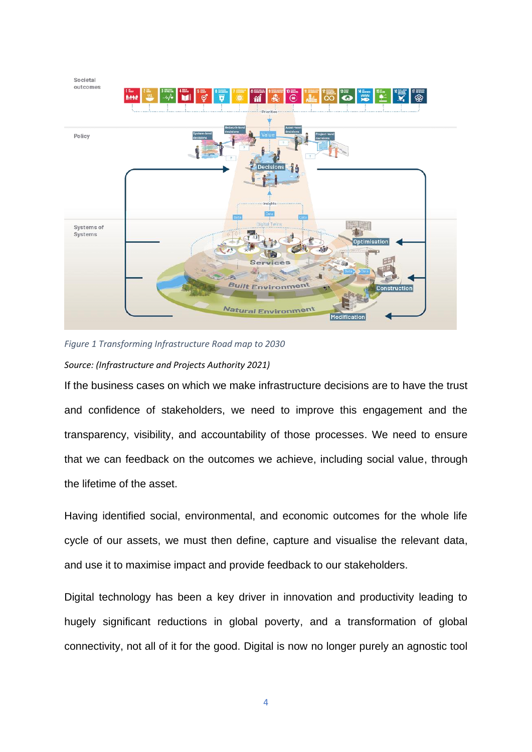

*Figure 1 Transforming Infrastructure Road map to 2030 Source: (Infrastructure and Projects Authority 2021)*

If the business cases on which we make infrastructure decisions are to have the trust and confidence of stakeholders, we need to improve this engagement and the transparency, visibility, and accountability of those processes. We need to ensure that we can feedback on the outcomes we achieve, including social value, through the lifetime of the asset.

Having identified social, environmental, and economic outcomes for the whole life cycle of our assets, we must then define, capture and visualise the relevant data, and use it to maximise impact and provide feedback to our stakeholders.

Digital technology has been a key driver in innovation and productivity leading to hugely significant reductions in global poverty, and a transformation of global connectivity, not all of it for the good. Digital is now no longer purely an agnostic tool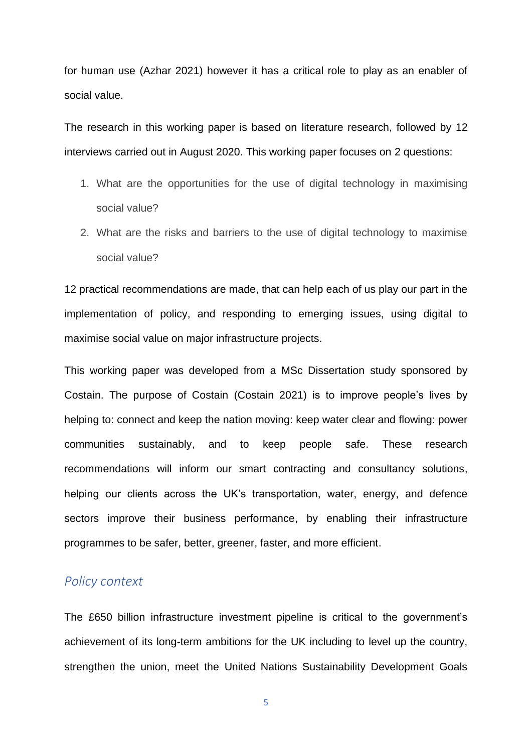for human use (Azhar 2021) however it has a critical role to play as an enabler of social value.

The research in this working paper is based on literature research, followed by 12 interviews carried out in August 2020. This working paper focuses on 2 questions:

- 1. What are the opportunities for the use of digital technology in maximising social value?
- 2. What are the risks and barriers to the use of digital technology to maximise social value?

12 practical recommendations are made, that can help each of us play our part in the implementation of policy, and responding to emerging issues, using digital to maximise social value on major infrastructure projects.

This working paper was developed from a MSc Dissertation study sponsored by Costain. The purpose of Costain (Costain 2021) is to improve people's lives by helping to: connect and keep the nation moving: keep water clear and flowing: power communities sustainably, and to keep people safe. These research recommendations will inform our smart contracting and consultancy solutions, helping our clients across the UK's transportation, water, energy, and defence sectors improve their business performance, by enabling their infrastructure programmes to be safer, better, greener, faster, and more efficient.

### *Policy context*

The £650 billion infrastructure investment pipeline is critical to the government's achievement of its long-term ambitions for the UK including to level up the country, strengthen the union, meet the United Nations Sustainability Development Goals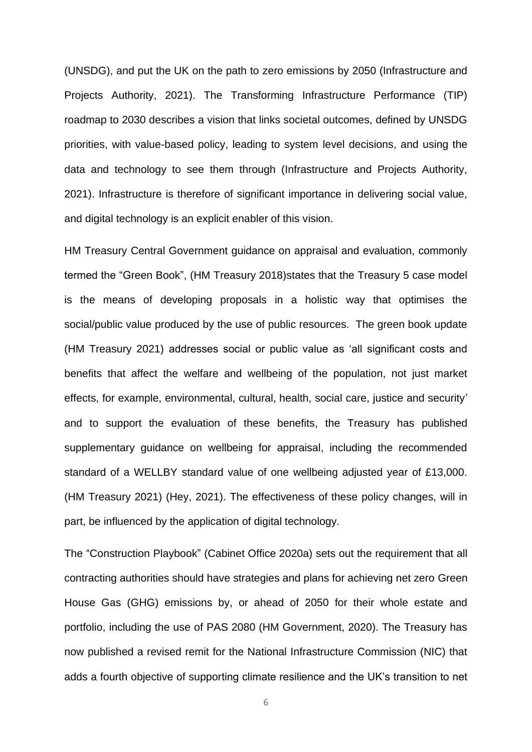(UNSDG), and put the UK on the path to zero emissions by 2050 (Infrastructure and Projects Authority, 2021). The Transforming Infrastructure Performance (TIP) roadmap to 2030 describes a vision that links societal outcomes, defined by UNSDG priorities, with value-based policy, leading to system level decisions, and using the data and technology to see them through (Infrastructure and Projects Authority, 2021). Infrastructure is therefore of significant importance in delivering social value, and digital technology is an explicit enabler of this vision.

HM Treasury Central Government guidance on appraisal and evaluation, commonly termed the "Green Book", (HM Treasury 2018)states that the Treasury 5 case model is the means of developing proposals in a holistic way that optimises the social/public value produced by the use of public resources. The green book update (HM Treasury 2021) addresses social or public value as 'all significant costs and benefits that affect the welfare and wellbeing of the population, not just market effects, for example, environmental, cultural, health, social care, justice and security' and to support the evaluation of these benefits, the Treasury has published supplementary guidance on wellbeing for appraisal, including the recommended standard of a WELLBY standard value of one wellbeing adjusted year of £13,000. (HM Treasury 2021) (Hey, 2021). The effectiveness of these policy changes, will in part, be influenced by the application of digital technology.

The "Construction Playbook" (Cabinet Office 2020a) sets out the requirement that all contracting authorities should have strategies and plans for achieving net zero Green House Gas (GHG) emissions by, or ahead of 2050 for their whole estate and portfolio, including the use of PAS 2080 (HM Government, 2020). The Treasury has now published a revised remit for the National Infrastructure Commission (NIC) that adds a fourth objective of supporting climate resilience and the UK's transition to net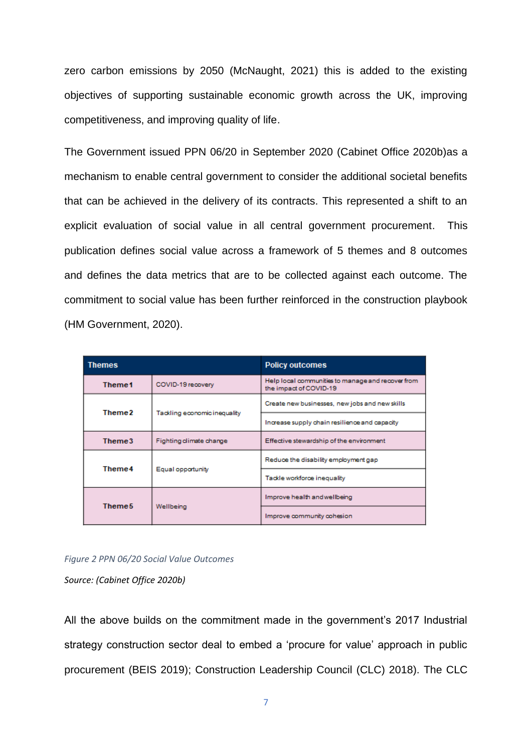zero carbon emissions by 2050 (McNaught, 2021) this is added to the existing objectives of supporting sustainable economic growth across the UK, improving competitiveness, and improving quality of life.

The Government issued PPN 06/20 in September 2020 (Cabinet Office 2020b)as a mechanism to enable central government to consider the additional societal benefits that can be achieved in the delivery of its contracts. This represented a shift to an explicit evaluation of social value in all central government procurement. This publication defines social value across a framework of 5 themes and 8 outcomes and defines the data metrics that are to be collected against each outcome. The commitment to social value has been further reinforced in the construction playbook (HM Government, 2020).

| <b>Themes</b>      |                              | <b>Policy outcomes</b>                                                      |  |
|--------------------|------------------------------|-----------------------------------------------------------------------------|--|
| Theme1             | COVID-19 recovery            | Help local communities to manage and recover from<br>the impact of COVID-19 |  |
| Theme2             | Tackling economic inequality | Create new businesses, new jobs and new skills                              |  |
|                    |                              | Increase supply chain resilience and capacity                               |  |
| Theme3             | Fighting climate change      | Effective stewardship of the environment                                    |  |
|                    | Equal opportunity            | Reduce the disability employment gap                                        |  |
| Theme4             |                              | Tackle workforce inequality                                                 |  |
| Theme <sub>5</sub> | Wellbeing                    | Improve health and wellbeing                                                |  |
|                    |                              | Improve community cohesion                                                  |  |

*Figure 2 PPN 06/20 Social Value Outcomes*

*Source: (Cabinet Office 2020b)*

All the above builds on the commitment made in the government's 2017 Industrial strategy construction sector deal to embed a 'procure for value' approach in public procurement (BEIS 2019); Construction Leadership Council (CLC) 2018). The CLC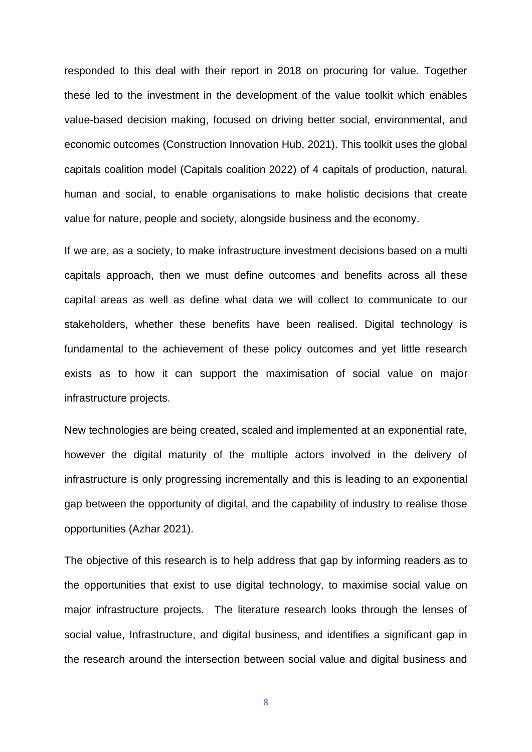responded to this deal with their report in 2018 on procuring for value. Together these led to the investment in the development of the value toolkit which enables value-based decision making, focused on driving better social, environmental, and economic outcomes (Construction Innovation Hub, 2021). This toolkit uses the global capitals coalition model (Capitals coalition 2022) of 4 capitals of production, natural, human and social, to enable organisations to make holistic decisions that create value for nature, people and society, alongside business and the economy.

If we are, as a society, to make infrastructure investment decisions based on a multi capitals approach, then we must define outcomes and benefits across all these capital areas as well as define what data we will collect to communicate to our stakeholders, whether these benefits have been realised. Digital technology is fundamental to the achievement of these policy outcomes and yet little research exists as to how it can support the maximisation of social value on major infrastructure projects.

New technologies are being created, scaled and implemented at an exponential rate, however the digital maturity of the multiple actors involved in the delivery of infrastructure is only progressing incrementally and this is leading to an exponential gap between the opportunity of digital, and the capability of industry to realise those opportunities (Azhar 2021).

The objective of this research is to help address that gap by informing readers as to the opportunities that exist to use digital technology, to maximise social value on major infrastructure projects. The literature research looks through the lenses of social value, Infrastructure, and digital business, and identifies a significant gap in the research around the intersection between social value and digital business and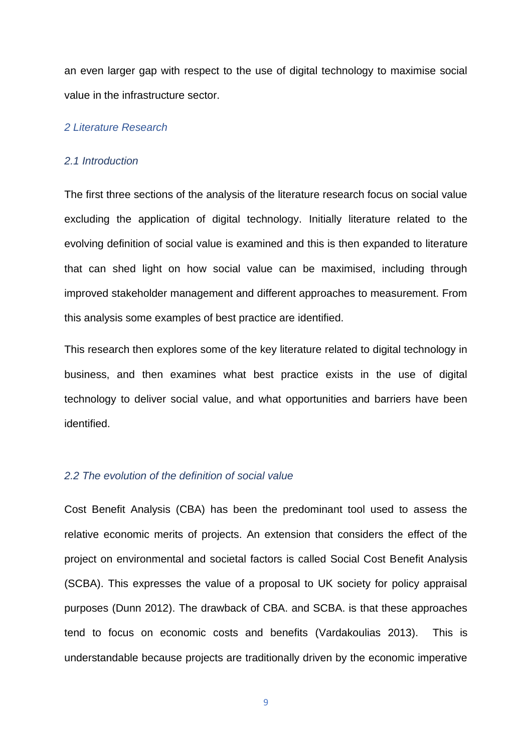an even larger gap with respect to the use of digital technology to maximise social value in the infrastructure sector.

### *2 Literature Research*

#### *2.1 Introduction*

The first three sections of the analysis of the literature research focus on social value excluding the application of digital technology. Initially literature related to the evolving definition of social value is examined and this is then expanded to literature that can shed light on how social value can be maximised, including through improved stakeholder management and different approaches to measurement. From this analysis some examples of best practice are identified.

This research then explores some of the key literature related to digital technology in business, and then examines what best practice exists in the use of digital technology to deliver social value, and what opportunities and barriers have been identified.

### *2.2 The evolution of the definition of social value*

Cost Benefit Analysis (CBA) has been the predominant tool used to assess the relative economic merits of projects. An extension that considers the effect of the project on environmental and societal factors is called Social Cost Benefit Analysis (SCBA). This expresses the value of a proposal to UK society for policy appraisal purposes (Dunn 2012). The drawback of CBA. and SCBA. is that these approaches tend to focus on economic costs and benefits (Vardakoulias 2013). This is understandable because projects are traditionally driven by the economic imperative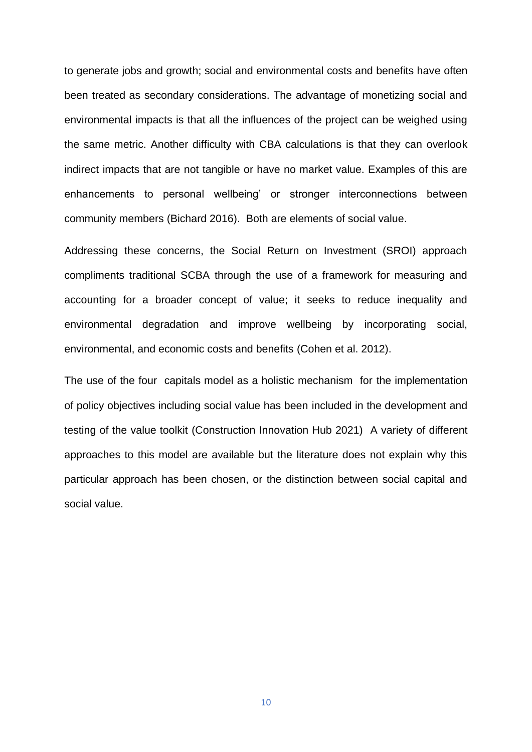to generate jobs and growth; social and environmental costs and benefits have often been treated as secondary considerations. The advantage of monetizing social and environmental impacts is that all the influences of the project can be weighed using the same metric. Another difficulty with CBA calculations is that they can overlook indirect impacts that are not tangible or have no market value. Examples of this are enhancements to personal wellbeing' or stronger interconnections between community members (Bichard 2016). Both are elements of social value.

Addressing these concerns, the Social Return on Investment (SROI) approach compliments traditional SCBA through the use of a framework for measuring and accounting for a broader concept of value; it seeks to reduce inequality and environmental degradation and improve wellbeing by incorporating social, environmental, and economic costs and benefits (Cohen et al. 2012).

The use of the four capitals model as a holistic mechanism for the implementation of policy objectives including social value has been included in the development and testing of the value toolkit (Construction Innovation Hub 2021) A variety of different approaches to this model are available but the literature does not explain why this particular approach has been chosen, or the distinction between social capital and social value.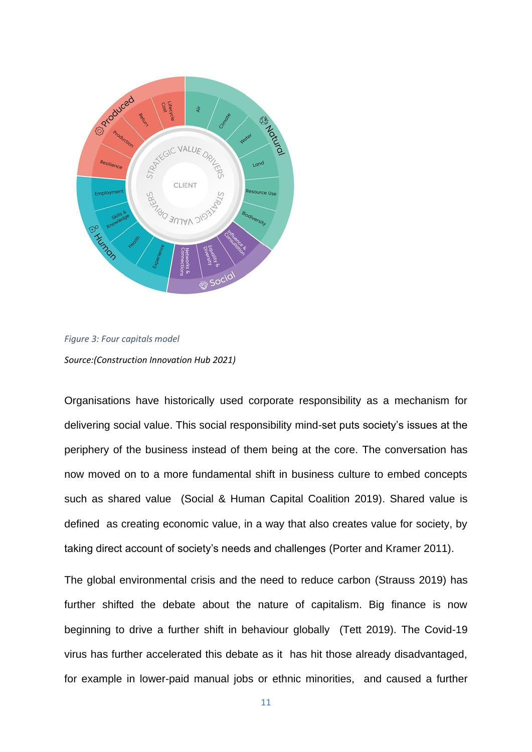

*Figure 3: Four capitals model Source:(Construction Innovation Hub 2021)*

Organisations have historically used corporate responsibility as a mechanism for delivering social value. This social responsibility mind-set puts society's issues at the periphery of the business instead of them being at the core. The conversation has now moved on to a more fundamental shift in business culture to embed concepts such as shared value (Social & Human Capital Coalition 2019). Shared value is defined as creating economic value, in a way that also creates value for society, by taking direct account of society's needs and challenges (Porter and Kramer 2011).

The global environmental crisis and the need to reduce carbon (Strauss 2019) has further shifted the debate about the nature of capitalism. Big finance is now beginning to drive a further shift in behaviour globally (Tett 2019). The Covid-19 virus has further accelerated this debate as it has hit those already disadvantaged, for example in lower-paid manual jobs or ethnic minorities, and caused a further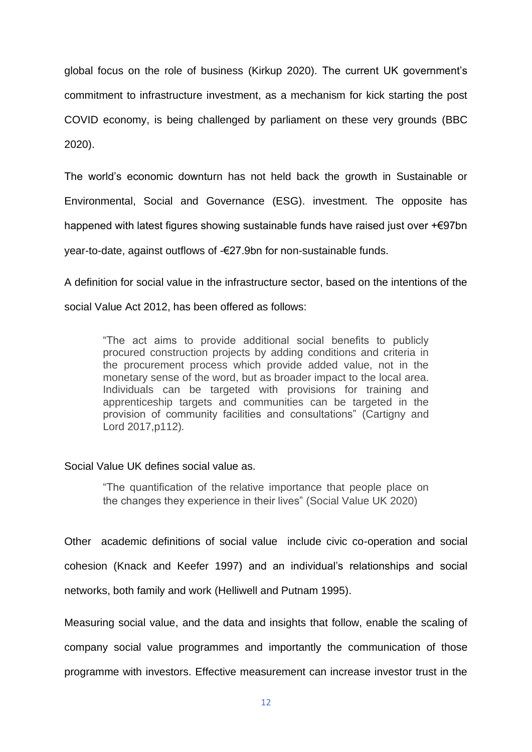global focus on the role of business (Kirkup 2020). The current UK government's commitment to infrastructure investment, as a mechanism for kick starting the post COVID economy, is being challenged by parliament on these very grounds (BBC 2020).

The world's economic downturn has not held back the growth in Sustainable or Environmental, Social and Governance (ESG). investment. The opposite has happened with latest figures showing sustainable funds have raised just over +€97bn year-to-date, against outflows of -€27.9bn for non-sustainable funds.

A definition for social value in the infrastructure sector, based on the intentions of the social Value Act 2012, has been offered as follows:

"The act aims to provide additional social benefits to publicly procured construction projects by adding conditions and criteria in the procurement process which provide added value, not in the monetary sense of the word, but as broader impact to the local area. Individuals can be targeted with provisions for training and apprenticeship targets and communities can be targeted in the provision of community facilities and consultations" (Cartigny and Lord 2017,p112)*.* 

### Social Value UK defines social value as.

"The quantification of the relative importance that people place on the changes they experience in their lives" (Social Value UK 2020)

Other academic definitions of social value include civic co-operation and social cohesion (Knack and Keefer 1997) and an individual's relationships and social networks, both family and work (Helliwell and Putnam 1995).

Measuring social value, and the data and insights that follow, enable the scaling of company social value programmes and importantly the communication of those programme with investors. Effective measurement can increase investor trust in the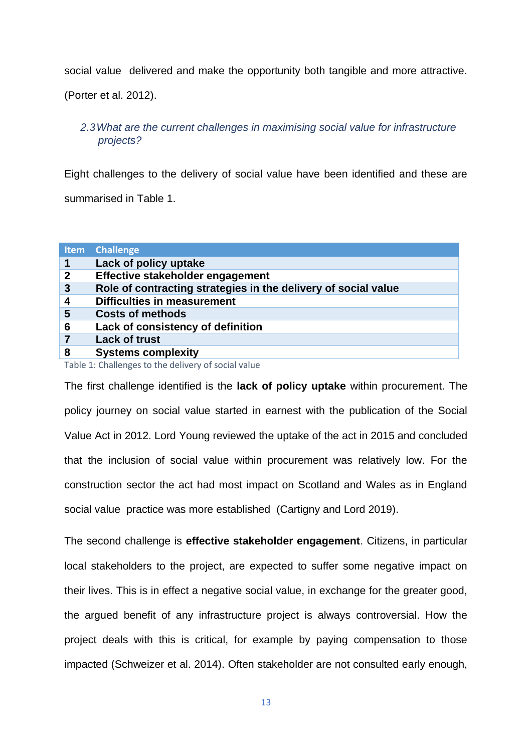social value delivered and make the opportunity both tangible and more attractive.

(Porter et al. 2012).

### *2.3What are the current challenges in maximising social value for infrastructure projects?*

Eight challenges to the delivery of social value have been identified and these are summarised in Table 1.

| Lack of policy uptake                                          |
|----------------------------------------------------------------|
| Effective stakeholder engagement                               |
| Role of contracting strategies in the delivery of social value |
| <b>Difficulties in measurement</b>                             |
| <b>Costs of methods</b>                                        |
| Lack of consistency of definition                              |
|                                                                |
| <b>Systems complexity</b>                                      |
|                                                                |

Table 1: Challenges to the delivery of social value

The first challenge identified is the **lack of policy uptake** within procurement. The policy journey on social value started in earnest with the publication of the Social Value Act in 2012. Lord Young reviewed the uptake of the act in 2015 and concluded that the inclusion of social value within procurement was relatively low. For the construction sector the act had most impact on Scotland and Wales as in England social value practice was more established (Cartigny and Lord 2019).

The second challenge is **effective stakeholder engagement**. Citizens, in particular local stakeholders to the project, are expected to suffer some negative impact on their lives. This is in effect a negative social value, in exchange for the greater good, the argued benefit of any infrastructure project is always controversial. How the project deals with this is critical, for example by paying compensation to those impacted (Schweizer et al. 2014). Often stakeholder are not consulted early enough,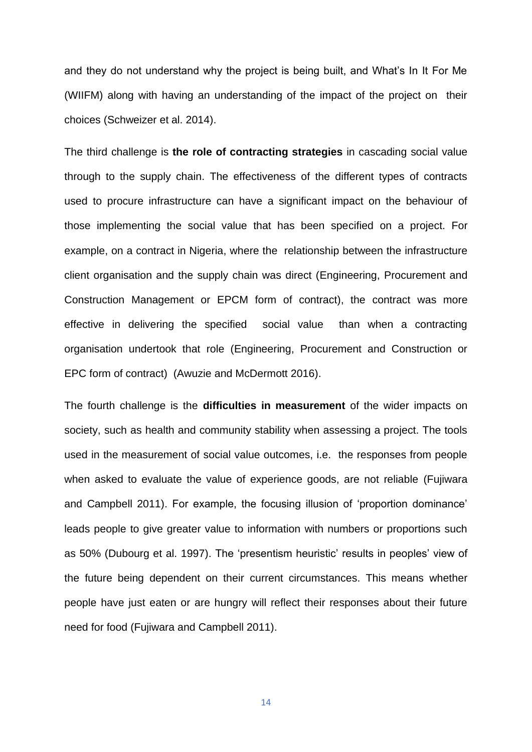and they do not understand why the project is being built, and What's In It For Me (WIIFM) along with having an understanding of the impact of the project on their choices (Schweizer et al. 2014).

The third challenge is **the role of contracting strategies** in cascading social value through to the supply chain. The effectiveness of the different types of contracts used to procure infrastructure can have a significant impact on the behaviour of those implementing the social value that has been specified on a project. For example, on a contract in Nigeria, where the relationship between the infrastructure client organisation and the supply chain was direct (Engineering, Procurement and Construction Management or EPCM form of contract), the contract was more effective in delivering the specified social value than when a contracting organisation undertook that role (Engineering, Procurement and Construction or EPC form of contract) (Awuzie and McDermott 2016).

The fourth challenge is the **difficulties in measurement** of the wider impacts on society, such as health and community stability when assessing a project. The tools used in the measurement of social value outcomes, i.e. the responses from people when asked to evaluate the value of experience goods, are not reliable (Fujiwara and Campbell 2011). For example, the focusing illusion of 'proportion dominance' leads people to give greater value to information with numbers or proportions such as 50% (Dubourg et al. 1997). The 'presentism heuristic' results in peoples' view of the future being dependent on their current circumstances. This means whether people have just eaten or are hungry will reflect their responses about their future need for food (Fujiwara and Campbell 2011).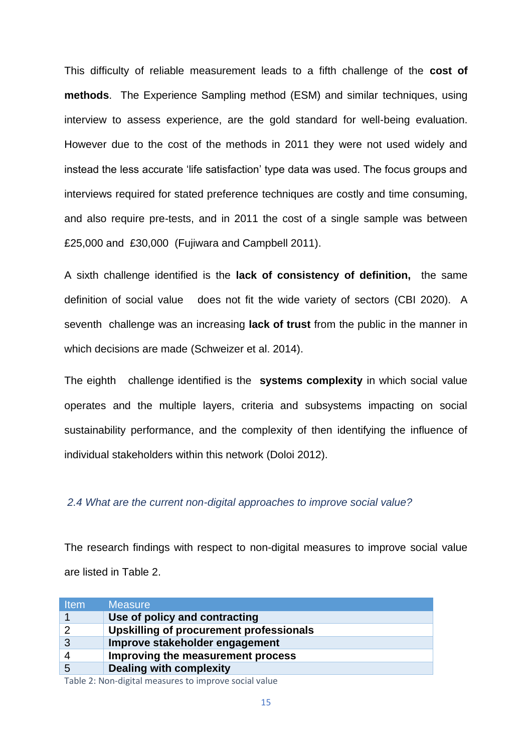This difficulty of reliable measurement leads to a fifth challenge of the **cost of methods**. The Experience Sampling method (ESM) and similar techniques, using interview to assess experience, are the gold standard for well-being evaluation. However due to the cost of the methods in 2011 they were not used widely and instead the less accurate 'life satisfaction' type data was used. The focus groups and interviews required for stated preference techniques are costly and time consuming, and also require pre-tests, and in 2011 the cost of a single sample was between £25,000 and £30,000 (Fujiwara and Campbell 2011).

A sixth challenge identified is the **lack of consistency of definition,** the same definition of social value does not fit the wide variety of sectors (CBI 2020). A seventh challenge was an increasing **lack of trust** from the public in the manner in which decisions are made (Schweizer et al. 2014).

The eighth challenge identified is the **systems complexity** in which social value operates and the multiple layers, criteria and subsystems impacting on social sustainability performance, and the complexity of then identifying the influence of individual stakeholders within this network (Doloi 2012).

### *2.4 What are the current non-digital approaches to improve social value?*

The research findings with respect to non-digital measures to improve social value are listed in Table 2.

| <b>Measure</b>                          |
|-----------------------------------------|
| Use of policy and contracting           |
| Upskilling of procurement professionals |
| Improve stakeholder engagement          |
| Improving the measurement process       |
| <b>Dealing with complexity</b>          |
|                                         |

Table 2: Non-digital measures to improve social value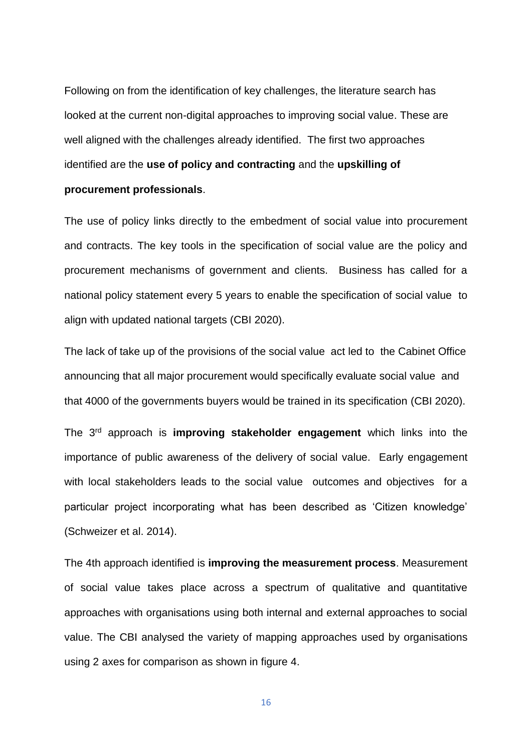Following on from the identification of key challenges, the literature search has looked at the current non-digital approaches to improving social value. These are well aligned with the challenges already identified. The first two approaches identified are the **use of policy and contracting** and the **upskilling of procurement professionals**.

The use of policy links directly to the embedment of social value into procurement and contracts. The key tools in the specification of social value are the policy and procurement mechanisms of government and clients. Business has called for a national policy statement every 5 years to enable the specification of social value to align with updated national targets (CBI 2020).

The lack of take up of the provisions of the social value act led to the Cabinet Office announcing that all major procurement would specifically evaluate social value and that 4000 of the governments buyers would be trained in its specification (CBI 2020).

The 3rd approach is **improving stakeholder engagement** which links into the importance of public awareness of the delivery of social value. Early engagement with local stakeholders leads to the social value outcomes and objectives for a particular project incorporating what has been described as 'Citizen knowledge' (Schweizer et al. 2014).

The 4th approach identified is **improving the measurement process**. Measurement of social value takes place across a spectrum of qualitative and quantitative approaches with organisations using both internal and external approaches to social value. The CBI analysed the variety of mapping approaches used by organisations using 2 axes for comparison as shown in figure 4.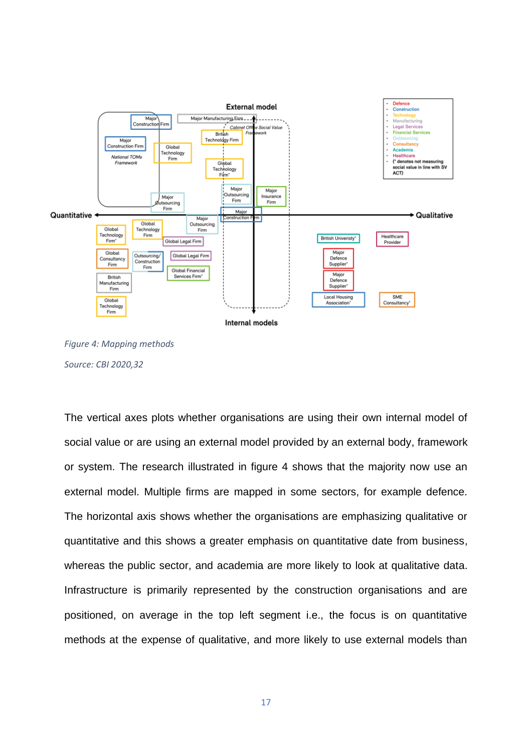



The vertical axes plots whether organisations are using their own internal model of social value or are using an external model provided by an external body, framework or system. The research illustrated in figure 4 shows that the majority now use an external model. Multiple firms are mapped in some sectors, for example defence. The horizontal axis shows whether the organisations are emphasizing qualitative or quantitative and this shows a greater emphasis on quantitative date from business, whereas the public sector, and academia are more likely to look at qualitative data. Infrastructure is primarily represented by the construction organisations and are positioned, on average in the top left segment i.e., the focus is on quantitative methods at the expense of qualitative, and more likely to use external models than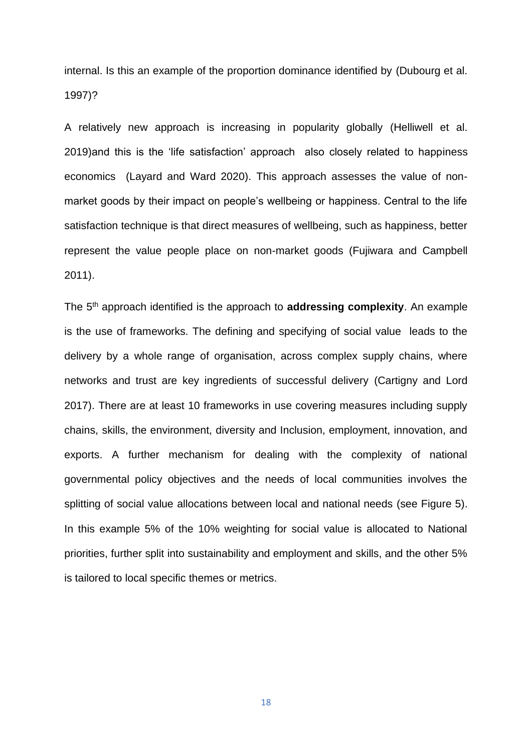internal. Is this an example of the proportion dominance identified by (Dubourg et al. 1997)?

A relatively new approach is increasing in popularity globally (Helliwell et al. 2019)and this is the 'life satisfaction' approach also closely related to happiness economics (Layard and Ward 2020). This approach assesses the value of nonmarket goods by their impact on people's wellbeing or happiness. Central to the life satisfaction technique is that direct measures of wellbeing, such as happiness, better represent the value people place on non-market goods (Fujiwara and Campbell 2011).

The 5th approach identified is the approach to **addressing complexity**. An example is the use of frameworks. The defining and specifying of social value leads to the delivery by a whole range of organisation, across complex supply chains, where networks and trust are key ingredients of successful delivery (Cartigny and Lord 2017). There are at least 10 frameworks in use covering measures including supply chains, skills, the environment, diversity and Inclusion, employment, innovation, and exports. A further mechanism for dealing with the complexity of national governmental policy objectives and the needs of local communities involves the splitting of social value allocations between local and national needs (see Figure 5). In this example 5% of the 10% weighting for social value is allocated to National priorities, further split into sustainability and employment and skills, and the other 5% is tailored to local specific themes or metrics.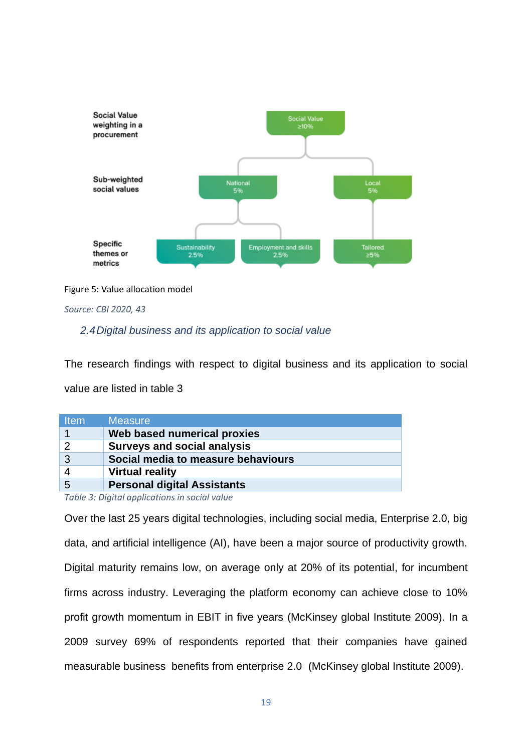

Figure 5: Value allocation model

*Source: CBI 2020, 43*

### *2.4Digital business and its application to social value*

The research findings with respect to digital business and its application to social

value are listed in table 3

| <b>Item</b>     | <b>Measure</b>                     |
|-----------------|------------------------------------|
|                 | Web based numerical proxies        |
| 2               | <b>Surveys and social analysis</b> |
| 3               | Social media to measure behaviours |
|                 | <b>Virtual reality</b>             |
| $5\overline{5}$ | <b>Personal digital Assistants</b> |

*Table 3: Digital applications in social value*

Over the last 25 years digital technologies, including social media, Enterprise 2.0, big data, and artificial intelligence (AI), have been a major source of productivity growth. Digital maturity remains low, on average only at 20% of its potential, for incumbent firms across industry. Leveraging the platform economy can achieve close to 10% profit growth momentum in EBIT in five years (McKinsey global Institute 2009). In a 2009 survey 69% of respondents reported that their companies have gained measurable business benefits from enterprise 2.0 (McKinsey global Institute 2009).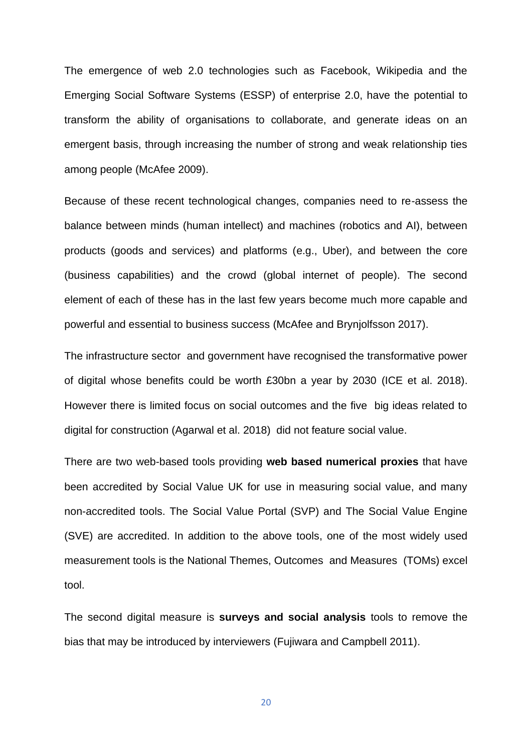The emergence of web 2.0 technologies such as Facebook, Wikipedia and the Emerging Social Software Systems (ESSP) of enterprise 2.0, have the potential to transform the ability of organisations to collaborate, and generate ideas on an emergent basis, through increasing the number of strong and weak relationship ties among people (McAfee 2009).

Because of these recent technological changes, companies need to re-assess the balance between minds (human intellect) and machines (robotics and AI), between products (goods and services) and platforms (e.g., Uber), and between the core (business capabilities) and the crowd (global internet of people). The second element of each of these has in the last few years become much more capable and powerful and essential to business success (McAfee and Brynjolfsson 2017).

The infrastructure sector and government have recognised the transformative power of digital whose benefits could be worth £30bn a year by 2030 (ICE et al. 2018). However there is limited focus on social outcomes and the five big ideas related to digital for construction (Agarwal et al. 2018) did not feature social value.

There are two web-based tools providing **web based numerical proxies** that have been accredited by Social Value UK for use in measuring social value, and many non-accredited tools. The Social Value Portal (SVP) and The Social Value Engine (SVE) are accredited. In addition to the above tools, one of the most widely used measurement tools is the National Themes, Outcomes and Measures (TOMs) excel tool.

The second digital measure is **surveys and social analysis** tools to remove the bias that may be introduced by interviewers (Fujiwara and Campbell 2011).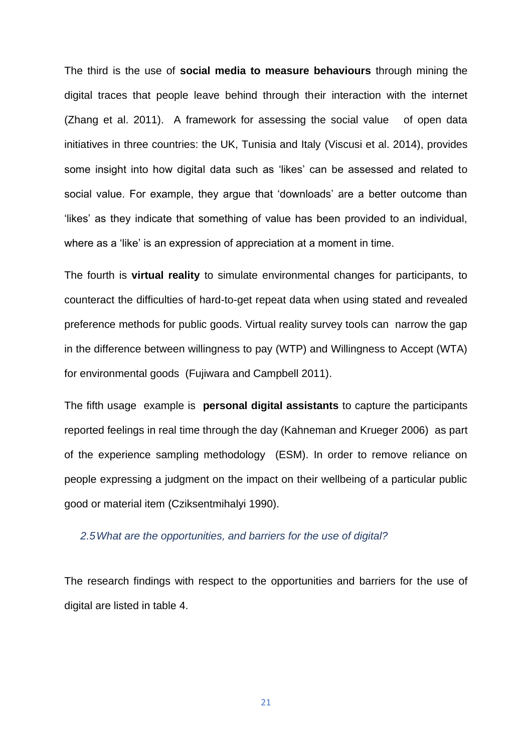The third is the use of **social media to measure behaviours** through mining the digital traces that people leave behind through their interaction with the internet (Zhang et al. 2011). A framework for assessing the social value of open data initiatives in three countries: the UK, Tunisia and Italy (Viscusi et al. 2014), provides some insight into how digital data such as 'likes' can be assessed and related to social value. For example, they argue that 'downloads' are a better outcome than 'likes' as they indicate that something of value has been provided to an individual, where as a 'like' is an expression of appreciation at a moment in time.

The fourth is **virtual reality** to simulate environmental changes for participants, to counteract the difficulties of hard-to-get repeat data when using stated and revealed preference methods for public goods. Virtual reality survey tools can narrow the gap in the difference between willingness to pay (WTP) and Willingness to Accept (WTA) for environmental goods (Fujiwara and Campbell 2011).

The fifth usage example is **personal digital assistants** to capture the participants reported feelings in real time through the day (Kahneman and Krueger 2006) as part of the experience sampling methodology (ESM). In order to remove reliance on people expressing a judgment on the impact on their wellbeing of a particular public good or material item (Cziksentmihalyi 1990).

### *2.5What are the opportunities, and barriers for the use of digital?*

The research findings with respect to the opportunities and barriers for the use of digital are listed in table 4.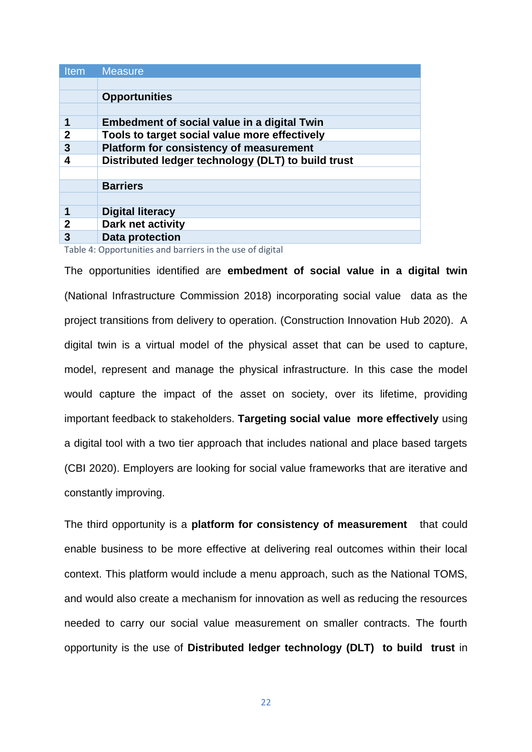| <b>Item</b>                 | <b>Measure</b>                                     |
|-----------------------------|----------------------------------------------------|
|                             |                                                    |
|                             | <b>Opportunities</b>                               |
|                             |                                                    |
| 1                           | Embedment of social value in a digital Twin        |
| $\overline{2}$              | Tools to target social value more effectively      |
| 3                           | <b>Platform for consistency of measurement</b>     |
| 4                           | Distributed ledger technology (DLT) to build trust |
|                             |                                                    |
|                             | <b>Barriers</b>                                    |
|                             |                                                    |
|                             | <b>Digital literacy</b>                            |
| $\overline{2}$              | Dark net activity                                  |
| 3                           | <b>Data protection</b>                             |
| $\sim$ $\sim$ $\sim$ $\sim$ |                                                    |

Table 4: Opportunities and barriers in the use of digital

The opportunities identified are **embedment of social value in a digital twin**  (National Infrastructure Commission 2018) incorporating social value data as the project transitions from delivery to operation. (Construction Innovation Hub 2020). A digital twin is a virtual model of the physical asset that can be used to capture, model, represent and manage the physical infrastructure. In this case the model would capture the impact of the asset on society, over its lifetime, providing important feedback to stakeholders. **Targeting social value more effectively** using a digital tool with a two tier approach that includes national and place based targets (CBI 2020). Employers are looking for social value frameworks that are iterative and constantly improving.

The third opportunity is a **platform for consistency of measurement** that could enable business to be more effective at delivering real outcomes within their local context. This platform would include a menu approach, such as the National TOMS, and would also create a mechanism for innovation as well as reducing the resources needed to carry our social value measurement on smaller contracts. The fourth opportunity is the use of **Distributed ledger technology (DLT) to build trust** in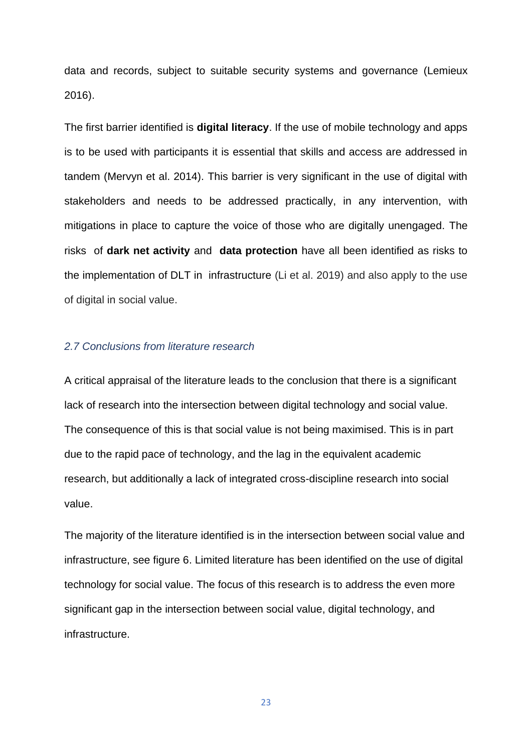data and records, subject to suitable security systems and governance (Lemieux 2016).

The first barrier identified is **digital literacy**. If the use of mobile technology and apps is to be used with participants it is essential that skills and access are addressed in tandem (Mervyn et al. 2014). This barrier is very significant in the use of digital with stakeholders and needs to be addressed practically, in any intervention, with mitigations in place to capture the voice of those who are digitally unengaged. The risks of **dark net activity** and **data protection** have all been identified as risks to the implementation of DLT in infrastructure (Li et al. 2019) and also apply to the use of digital in social value.

### *2.7 Conclusions from literature research*

A critical appraisal of the literature leads to the conclusion that there is a significant lack of research into the intersection between digital technology and social value. The consequence of this is that social value is not being maximised. This is in part due to the rapid pace of technology, and the lag in the equivalent academic research, but additionally a lack of integrated cross-discipline research into social value.

The majority of the literature identified is in the intersection between social value and infrastructure, see figure 6. Limited literature has been identified on the use of digital technology for social value. The focus of this research is to address the even more significant gap in the intersection between social value, digital technology, and infrastructure.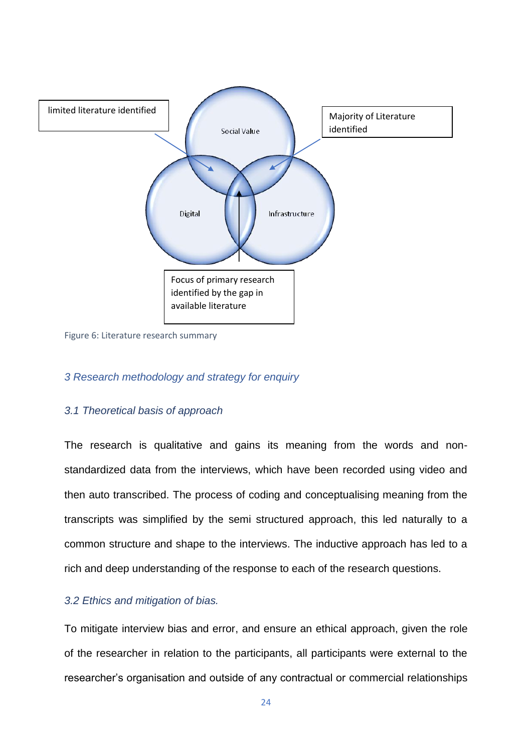

Figure 6: Literature research summary

### *3 Research methodology and strategy for enquiry*

#### *3.1 Theoretical basis of approach*

The research is qualitative and gains its meaning from the words and nonstandardized data from the interviews, which have been recorded using video and then auto transcribed. The process of coding and conceptualising meaning from the transcripts was simplified by the semi structured approach, this led naturally to a common structure and shape to the interviews. The inductive approach has led to a rich and deep understanding of the response to each of the research questions.

### *3.2 Ethics and mitigation of bias.*

To mitigate interview bias and error, and ensure an ethical approach, given the role of the researcher in relation to the participants, all participants were external to the researcher's organisation and outside of any contractual or commercial relationships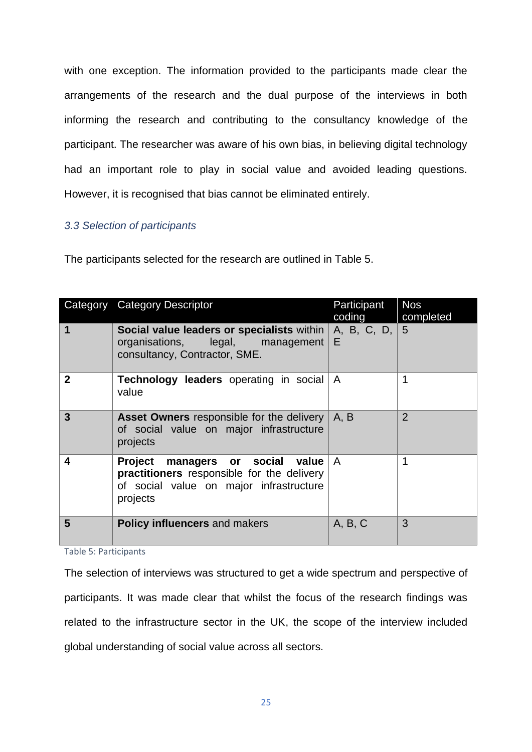with one exception. The information provided to the participants made clear the arrangements of the research and the dual purpose of the interviews in both informing the research and contributing to the consultancy knowledge of the participant. The researcher was aware of his own bias, in believing digital technology had an important role to play in social value and avoided leading questions. However, it is recognised that bias cannot be eliminated entirely.

### *3.3 Selection of participants*

|                | Category Category Descriptor                                                                                                             | Participant<br>coding | <b>Nos</b><br>completed |
|----------------|------------------------------------------------------------------------------------------------------------------------------------------|-----------------------|-------------------------|
| 1              | <b>Social value leaders or specialists within</b> $ A, B, C, D,  5$<br>organisations, legal, management<br>consultancy, Contractor, SME. | E                     |                         |
| $\mathbf{2}$   | <b>Technology leaders</b> operating in social<br>value                                                                                   | $\mathsf{A}$          |                         |
| $\overline{3}$ | <b>Asset Owners</b> responsible for the delivery<br>of social value on major infrastructure<br>projects                                  | A, B                  | $\overline{2}$          |
| 4              | Project managers or social value<br>practitioners responsible for the delivery<br>of social value on major infrastructure<br>projects    | $\overline{A}$        |                         |
| 5              | <b>Policy influencers and makers</b>                                                                                                     | A, B, C               | 3                       |

Table 5: Participants

The selection of interviews was structured to get a wide spectrum and perspective of participants. It was made clear that whilst the focus of the research findings was related to the infrastructure sector in the UK, the scope of the interview included global understanding of social value across all sectors.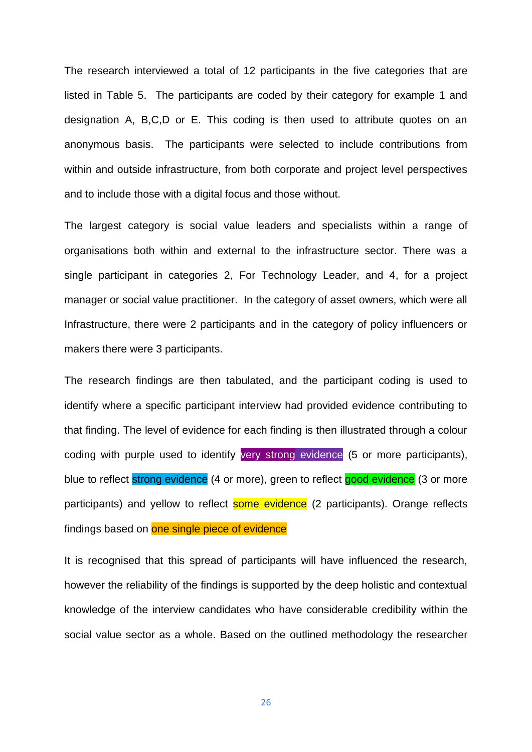The research interviewed a total of 12 participants in the five categories that are listed in Table 5. The participants are coded by their category for example 1 and designation A, B,C,D or E. This coding is then used to attribute quotes on an anonymous basis. The participants were selected to include contributions from within and outside infrastructure, from both corporate and project level perspectives and to include those with a digital focus and those without.

The largest category is social value leaders and specialists within a range of organisations both within and external to the infrastructure sector. There was a single participant in categories 2, For Technology Leader, and 4, for a project manager or social value practitioner. In the category of asset owners, which were all Infrastructure, there were 2 participants and in the category of policy influencers or makers there were 3 participants.

The research findings are then tabulated, and the participant coding is used to identify where a specific participant interview had provided evidence contributing to that finding. The level of evidence for each finding is then illustrated through a colour coding with purple used to identify very strong evidence (5 or more participants), blue to reflect strong evidence (4 or more), green to reflect good evidence (3 or more participants) and yellow to reflect some evidence (2 participants). Orange reflects findings based on one single piece of evidence

It is recognised that this spread of participants will have influenced the research, however the reliability of the findings is supported by the deep holistic and contextual knowledge of the interview candidates who have considerable credibility within the social value sector as a whole. Based on the outlined methodology the researcher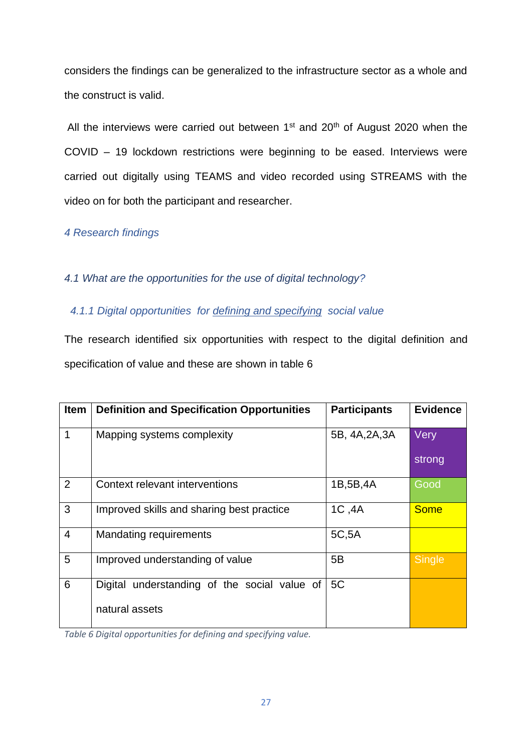considers the findings can be generalized to the infrastructure sector as a whole and the construct is valid.

All the interviews were carried out between  $1<sup>st</sup>$  and  $20<sup>th</sup>$  of August 2020 when the COVID – 19 lockdown restrictions were beginning to be eased. Interviews were carried out digitally using TEAMS and video recorded using STREAMS with the video on for both the participant and researcher.

*4 Research findings* 

### *4.1 What are the opportunities for the use of digital technology?*

 *4.1.1 Digital opportunities for defining and specifying social value*

The research identified six opportunities with respect to the digital definition and specification of value and these are shown in table 6

| <b>Item</b>    | <b>Definition and Specification Opportunities</b> | <b>Participants</b> | <b>Evidence</b> |
|----------------|---------------------------------------------------|---------------------|-----------------|
|                | Mapping systems complexity                        | 5B, 4A, 2A, 3A      | Very            |
|                |                                                   |                     | strong          |
| $\overline{2}$ | Context relevant interventions                    | 1B,5B,4A            | Good            |
| 3              | Improved skills and sharing best practice         | 1C, 4A              | <b>Some</b>     |
| $\overline{4}$ | <b>Mandating requirements</b>                     | 5C,5A               |                 |
| 5              | Improved understanding of value                   | 5B                  | Single          |
| 6              | Digital understanding of the social value of      | 5C                  |                 |
|                | natural assets                                    |                     |                 |

*Table 6 Digital opportunities for defining and specifying value.*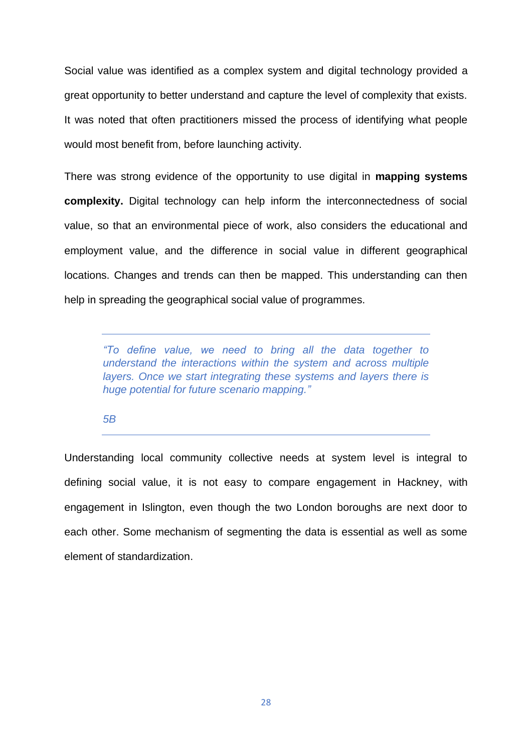Social value was identified as a complex system and digital technology provided a great opportunity to better understand and capture the level of complexity that exists. It was noted that often practitioners missed the process of identifying what people would most benefit from, before launching activity.

There was strong evidence of the opportunity to use digital in **mapping systems complexity.** Digital technology can help inform the interconnectedness of social value, so that an environmental piece of work, also considers the educational and employment value, and the difference in social value in different geographical locations. Changes and trends can then be mapped. This understanding can then help in spreading the geographical social value of programmes.

*"To define value, we need to bring all the data together to understand the interactions within the system and across multiple layers. Once we start integrating these systems and layers there is huge potential for future scenario mapping."*

#### *5B*

Understanding local community collective needs at system level is integral to defining social value, it is not easy to compare engagement in Hackney, with engagement in Islington, even though the two London boroughs are next door to each other. Some mechanism of segmenting the data is essential as well as some element of standardization.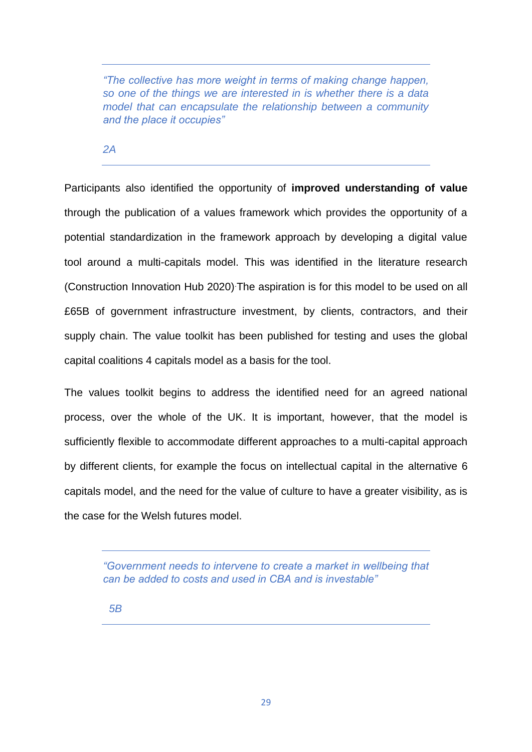*"The collective has more weight in terms of making change happen, so one of the things we are interested in is whether there is a data model that can encapsulate the relationship between a community and the place it occupies"* 

*2A*

Participants also identified the opportunity of **improved understanding of value** through the publication of a values framework which provides the opportunity of a potential standardization in the framework approach by developing a digital value tool around a multi-capitals model. This was identified in the literature research (Construction Innovation Hub 2020).The aspiration is for this model to be used on all £65B of government infrastructure investment, by clients, contractors, and their supply chain. The value toolkit has been published for testing and uses the global capital coalitions 4 capitals model as a basis for the tool.

The values toolkit begins to address the identified need for an agreed national process, over the whole of the UK. It is important, however, that the model is sufficiently flexible to accommodate different approaches to a multi-capital approach by different clients, for example the focus on intellectual capital in the alternative 6 capitals model, and the need for the value of culture to have a greater visibility, as is the case for the Welsh futures model.

*"Government needs to intervene to create a market in wellbeing that can be added to costs and used in CBA and is investable"*

 *5B*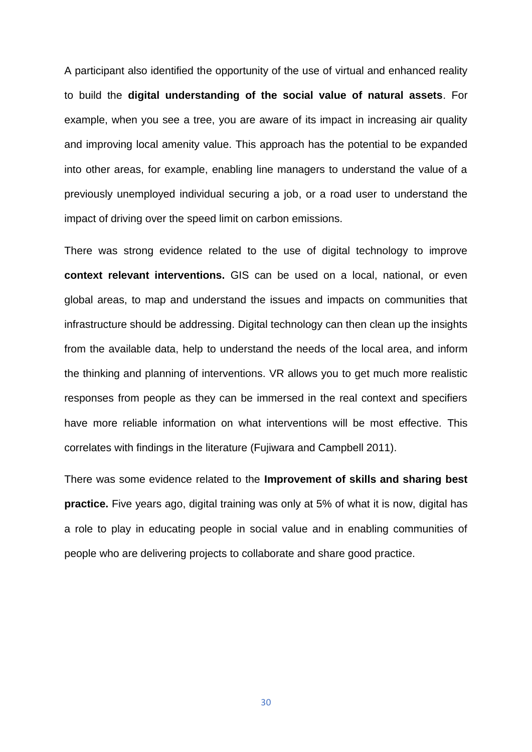A participant also identified the opportunity of the use of virtual and enhanced reality to build the **digital understanding of the social value of natural assets**. For example, when you see a tree, you are aware of its impact in increasing air quality and improving local amenity value. This approach has the potential to be expanded into other areas, for example, enabling line managers to understand the value of a previously unemployed individual securing a job, or a road user to understand the impact of driving over the speed limit on carbon emissions.

There was strong evidence related to the use of digital technology to improve **context relevant interventions.** GIS can be used on a local, national, or even global areas, to map and understand the issues and impacts on communities that infrastructure should be addressing. Digital technology can then clean up the insights from the available data, help to understand the needs of the local area, and inform the thinking and planning of interventions. VR allows you to get much more realistic responses from people as they can be immersed in the real context and specifiers have more reliable information on what interventions will be most effective. This correlates with findings in the literature (Fujiwara and Campbell 2011).

There was some evidence related to the **Improvement of skills and sharing best practice.** Five years ago, digital training was only at 5% of what it is now, digital has a role to play in educating people in social value and in enabling communities of people who are delivering projects to collaborate and share good practice.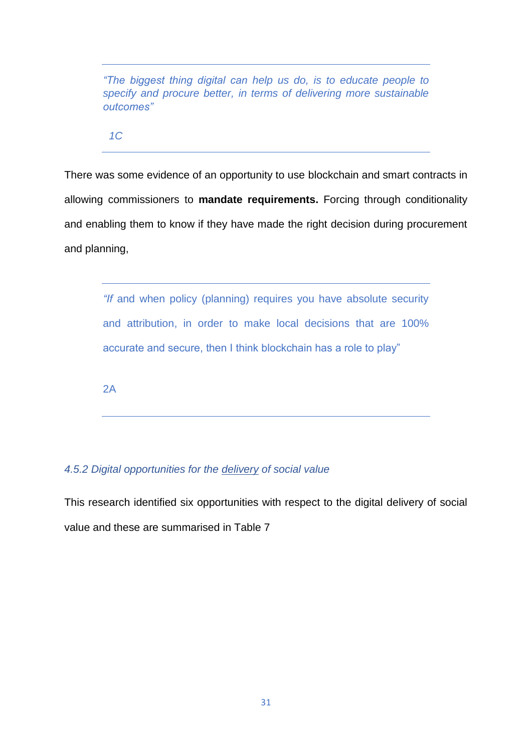*"The biggest thing digital can help us do, is to educate people to specify and procure better, in terms of delivering more sustainable outcomes"*

 *1C* 

There was some evidence of an opportunity to use blockchain and smart contracts in allowing commissioners to **mandate requirements.** Forcing through conditionality and enabling them to know if they have made the right decision during procurement and planning,

*"If* and when policy (planning) requires you have absolute security and attribution, in order to make local decisions that are 100% accurate and secure, then I think blockchain has a role to play"

 $2A$ 

### *4.5.2 Digital opportunities for the delivery of social value*

This research identified six opportunities with respect to the digital delivery of social value and these are summarised in Table 7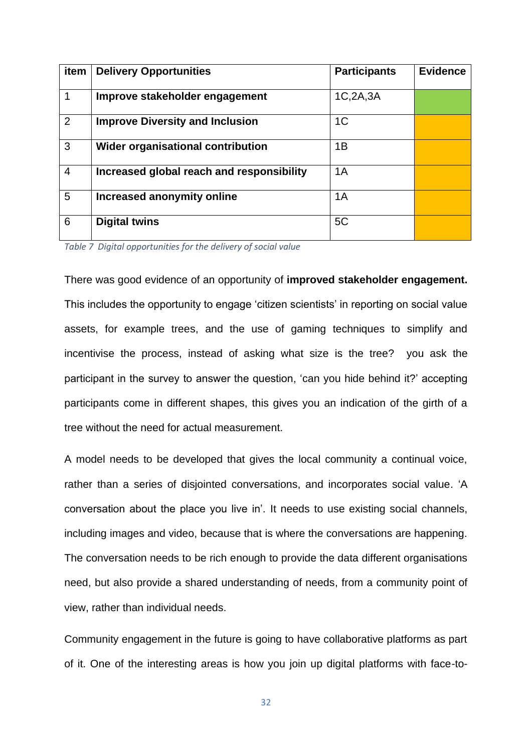| item           | <b>Delivery Opportunities</b>             | <b>Participants</b> | <b>Evidence</b> |
|----------------|-------------------------------------------|---------------------|-----------------|
|                | Improve stakeholder engagement            | 1C,2A,3A            |                 |
| 2              | <b>Improve Diversity and Inclusion</b>    | 1 <sup>C</sup>      |                 |
| 3              | <b>Wider organisational contribution</b>  | 1B                  |                 |
| $\overline{4}$ | Increased global reach and responsibility | 1A                  |                 |
| 5              | Increased anonymity online                | 1A                  |                 |
| 6              | <b>Digital twins</b>                      | 5C                  |                 |

*Table 7 Digital opportunities for the delivery of social value* 

There was good evidence of an opportunity of **improved stakeholder engagement.** This includes the opportunity to engage 'citizen scientists' in reporting on social value assets, for example trees, and the use of gaming techniques to simplify and incentivise the process, instead of asking what size is the tree? you ask the participant in the survey to answer the question, 'can you hide behind it?' accepting participants come in different shapes, this gives you an indication of the girth of a tree without the need for actual measurement.

A model needs to be developed that gives the local community a continual voice, rather than a series of disjointed conversations, and incorporates social value. 'A conversation about the place you live in'. It needs to use existing social channels, including images and video, because that is where the conversations are happening. The conversation needs to be rich enough to provide the data different organisations need, but also provide a shared understanding of needs, from a community point of view, rather than individual needs.

Community engagement in the future is going to have collaborative platforms as part of it. One of the interesting areas is how you join up digital platforms with face-to-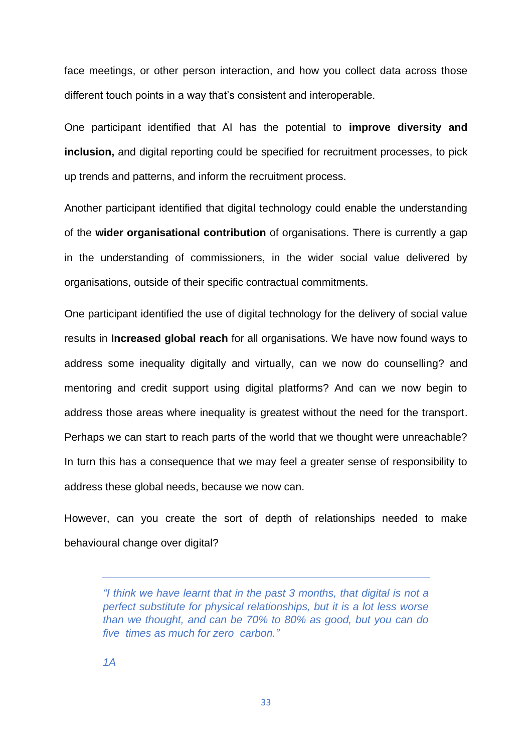face meetings, or other person interaction, and how you collect data across those different touch points in a way that's consistent and interoperable.

One participant identified that AI has the potential to **improve diversity and inclusion.** and digital reporting could be specified for recruitment processes, to pick up trends and patterns, and inform the recruitment process.

Another participant identified that digital technology could enable the understanding of the **wider organisational contribution** of organisations. There is currently a gap in the understanding of commissioners, in the wider social value delivered by organisations, outside of their specific contractual commitments.

One participant identified the use of digital technology for the delivery of social value results in **Increased global reach** for all organisations. We have now found ways to address some inequality digitally and virtually, can we now do counselling? and mentoring and credit support using digital platforms? And can we now begin to address those areas where inequality is greatest without the need for the transport. Perhaps we can start to reach parts of the world that we thought were unreachable? In turn this has a consequence that we may feel a greater sense of responsibility to address these global needs, because we now can.

However, can you create the sort of depth of relationships needed to make behavioural change over digital?

*<sup>&</sup>quot;I think we have learnt that in the past 3 months, that digital is not a perfect substitute for physical relationships, but it is a lot less worse than we thought, and can be 70% to 80% as good, but you can do five times as much for zero carbon."*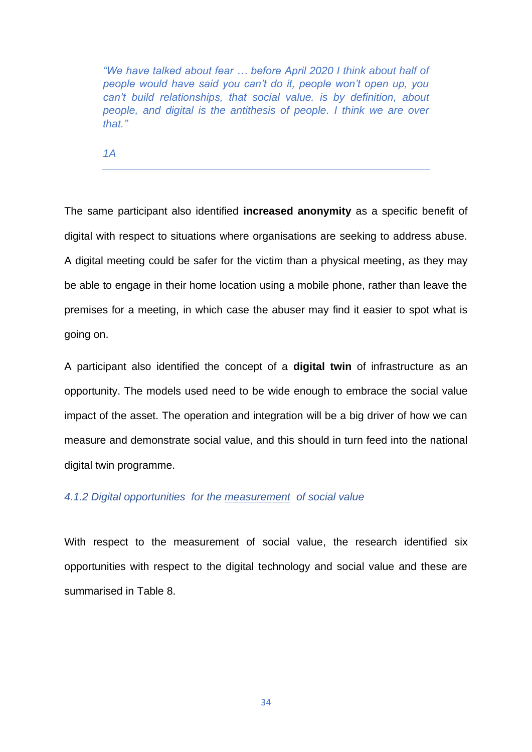*"We have talked about fear … before April 2020 I think about half of people would have said you can't do it, people won't open up, you can't build relationships, that social value. is by definition, about people, and digital is the antithesis of people. I think we are over that."* 

*1A*

The same participant also identified **increased anonymity** as a specific benefit of digital with respect to situations where organisations are seeking to address abuse. A digital meeting could be safer for the victim than a physical meeting, as they may be able to engage in their home location using a mobile phone, rather than leave the premises for a meeting, in which case the abuser may find it easier to spot what is going on.

A participant also identified the concept of a **digital twin** of infrastructure as an opportunity. The models used need to be wide enough to embrace the social value impact of the asset. The operation and integration will be a big driver of how we can measure and demonstrate social value, and this should in turn feed into the national digital twin programme.

### *4.1.2 Digital opportunities for the measurement of social value*

With respect to the measurement of social value, the research identified six opportunities with respect to the digital technology and social value and these are summarised in Table 8.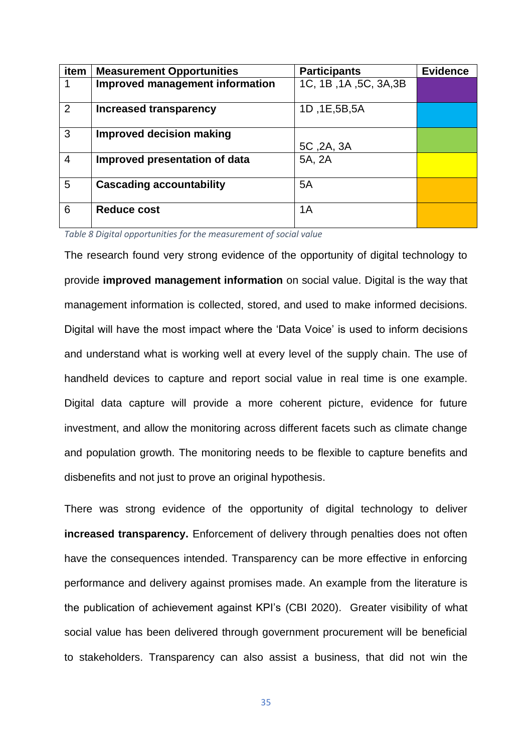| item           | <b>Measurement Opportunities</b> | <b>Participants</b>    | <b>Evidence</b> |
|----------------|----------------------------------|------------------------|-----------------|
|                | Improved management information  | 1C, 1B, 1A, 5C, 3A, 3B |                 |
| 2              | Increased transparency           | 1D, 1E, 5B, 5A         |                 |
| 3              | <b>Improved decision making</b>  | 5C, 2A, 3A             |                 |
| $\overline{4}$ | Improved presentation of data    | 5A, 2A                 |                 |
| 5              | <b>Cascading accountability</b>  | 5A                     |                 |
| 6              | <b>Reduce cost</b>               | 1A                     |                 |

*Table 8 Digital opportunities for the measurement of social value* 

The research found very strong evidence of the opportunity of digital technology to provide **improved management information** on social value. Digital is the way that management information is collected, stored, and used to make informed decisions. Digital will have the most impact where the 'Data Voice' is used to inform decisions and understand what is working well at every level of the supply chain. The use of handheld devices to capture and report social value in real time is one example. Digital data capture will provide a more coherent picture, evidence for future investment, and allow the monitoring across different facets such as climate change and population growth. The monitoring needs to be flexible to capture benefits and disbenefits and not just to prove an original hypothesis.

There was strong evidence of the opportunity of digital technology to deliver **increased transparency.** Enforcement of delivery through penalties does not often have the consequences intended. Transparency can be more effective in enforcing performance and delivery against promises made. An example from the literature is the publication of achievement against KPI's (CBI 2020). Greater visibility of what social value has been delivered through government procurement will be beneficial to stakeholders. Transparency can also assist a business, that did not win the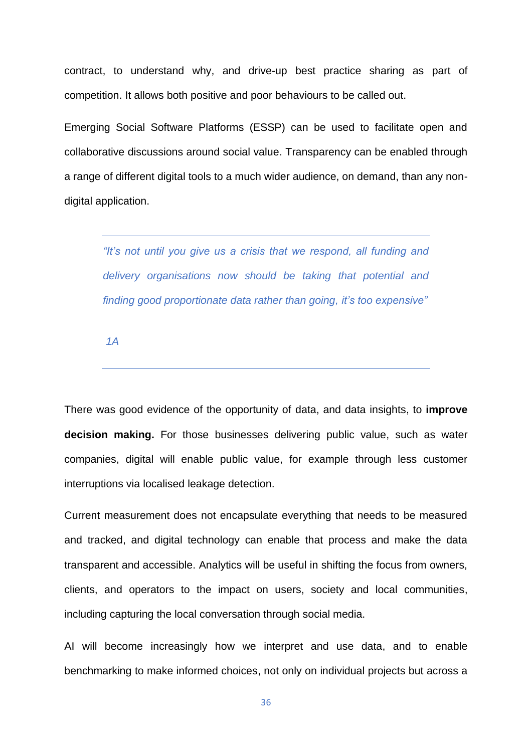contract, to understand why, and drive-up best practice sharing as part of competition. It allows both positive and poor behaviours to be called out.

Emerging Social Software Platforms (ESSP) can be used to facilitate open and collaborative discussions around social value. Transparency can be enabled through a range of different digital tools to a much wider audience, on demand, than any nondigital application.

*"It's not until you give us a crisis that we respond, all funding and delivery organisations now should be taking that potential and finding good proportionate data rather than going, it's too expensive"*

*1A* 

There was good evidence of the opportunity of data, and data insights, to **improve decision making.** For those businesses delivering public value, such as water companies, digital will enable public value, for example through less customer interruptions via localised leakage detection.

Current measurement does not encapsulate everything that needs to be measured and tracked, and digital technology can enable that process and make the data transparent and accessible. Analytics will be useful in shifting the focus from owners, clients, and operators to the impact on users, society and local communities, including capturing the local conversation through social media.

AI will become increasingly how we interpret and use data, and to enable benchmarking to make informed choices, not only on individual projects but across a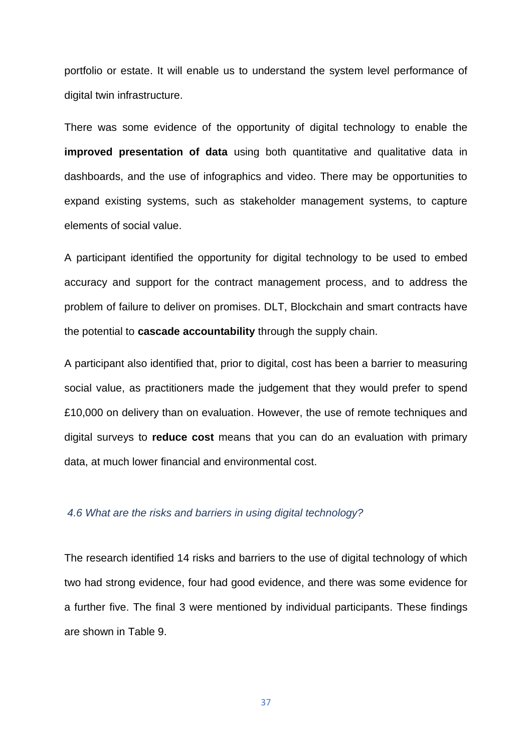portfolio or estate. It will enable us to understand the system level performance of digital twin infrastructure.

There was some evidence of the opportunity of digital technology to enable the **improved presentation of data** using both quantitative and qualitative data in dashboards, and the use of infographics and video. There may be opportunities to expand existing systems, such as stakeholder management systems, to capture elements of social value.

A participant identified the opportunity for digital technology to be used to embed accuracy and support for the contract management process, and to address the problem of failure to deliver on promises. DLT, Blockchain and smart contracts have the potential to **cascade accountability** through the supply chain.

A participant also identified that, prior to digital, cost has been a barrier to measuring social value, as practitioners made the judgement that they would prefer to spend £10,000 on delivery than on evaluation. However, the use of remote techniques and digital surveys to **reduce cost** means that you can do an evaluation with primary data, at much lower financial and environmental cost.

### *4.6 What are the risks and barriers in using digital technology?*

The research identified 14 risks and barriers to the use of digital technology of which two had strong evidence, four had good evidence, and there was some evidence for a further five. The final 3 were mentioned by individual participants. These findings are shown in Table 9.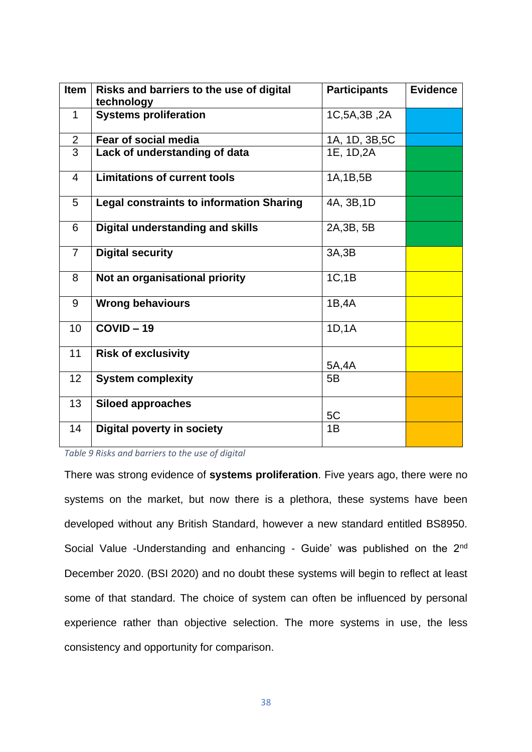| <b>Item</b>     | Risks and barriers to the use of digital<br>technology | <b>Participants</b> | <b>Evidence</b> |
|-----------------|--------------------------------------------------------|---------------------|-----------------|
| $\mathbf{1}$    | <b>Systems proliferation</b>                           | 1C, 5A, 3B, 2A      |                 |
|                 |                                                        |                     |                 |
| 2               | Fear of social media                                   | 1A, 1D, 3B, 5C      |                 |
| $\overline{3}$  | Lack of understanding of data                          | 1E, 1D, 2A          |                 |
| $\overline{4}$  | <b>Limitations of current tools</b>                    | 1A, 1B, 5B          |                 |
| 5               | <b>Legal constraints to information Sharing</b>        | 4A, 3B, 1D          |                 |
| 6               | <b>Digital understanding and skills</b>                | 2A, 3B, 5B          |                 |
| $\overline{7}$  | <b>Digital security</b>                                | 3A,3B               |                 |
| 8               | Not an organisational priority                         | 1C, 1B              |                 |
| 9               | <b>Wrong behaviours</b>                                | 1B,4A               |                 |
| 10              | $COVID - 19$                                           | 1D, 1A              |                 |
| 11              | <b>Risk of exclusivity</b>                             | 5A,4A               |                 |
| 12 <sup>2</sup> | <b>System complexity</b>                               | 5B                  |                 |
| 13              | <b>Siloed approaches</b>                               | 5C                  |                 |
| 14              | <b>Digital poverty in society</b>                      | 1B                  |                 |

*Table 9 Risks and barriers to the use of digital* 

There was strong evidence of **systems proliferation**. Five years ago, there were no systems on the market, but now there is a plethora, these systems have been developed without any British Standard, however a new standard entitled BS8950. Social Value -Understanding and enhancing - Guide' was published on the 2<sup>nd</sup> December 2020. (BSI 2020) and no doubt these systems will begin to reflect at least some of that standard. The choice of system can often be influenced by personal experience rather than objective selection. The more systems in use, the less consistency and opportunity for comparison.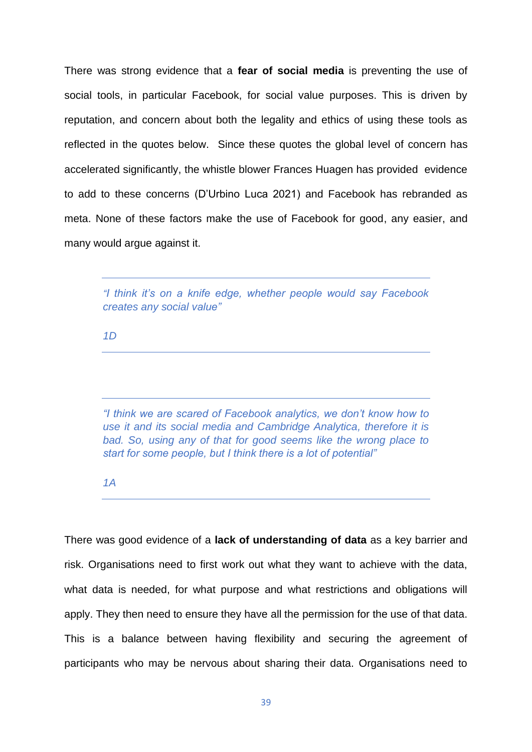There was strong evidence that a **fear of social media** is preventing the use of social tools, in particular Facebook, for social value purposes. This is driven by reputation, and concern about both the legality and ethics of using these tools as reflected in the quotes below. Since these quotes the global level of concern has accelerated significantly, the whistle blower Frances Huagen has provided evidence to add to these concerns (D'Urbino Luca 2021) and Facebook has rebranded as meta. None of these factors make the use of Facebook for good, any easier, and many would argue against it.

*"I think it's on a knife edge, whether people would say Facebook creates any social value"*

*1D* 

*"I think we are scared of Facebook analytics, we don't know how to use it and its social media and Cambridge Analytica, therefore it is bad. So, using any of that for good seems like the wrong place to start for some people, but I think there is a lot of potential"*

*1A*

There was good evidence of a **lack of understanding of data** as a key barrier and risk. Organisations need to first work out what they want to achieve with the data, what data is needed, for what purpose and what restrictions and obligations will apply. They then need to ensure they have all the permission for the use of that data. This is a balance between having flexibility and securing the agreement of participants who may be nervous about sharing their data. Organisations need to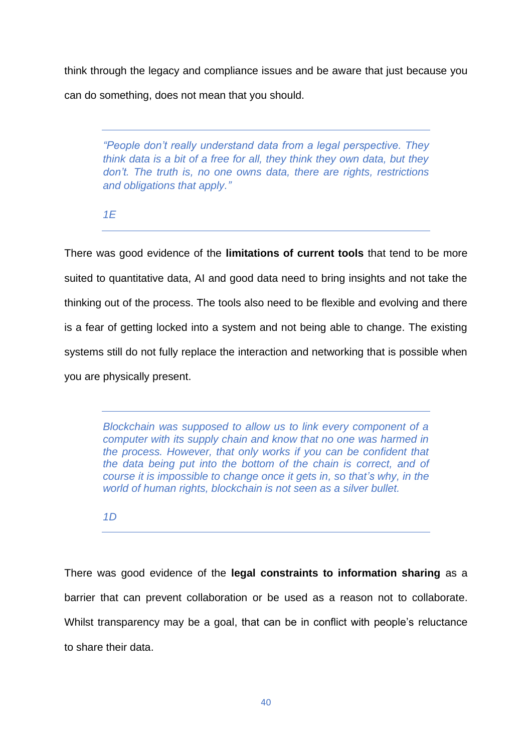think through the legacy and compliance issues and be aware that just because you can do something, does not mean that you should.

*"People don't really understand data from a legal perspective. They think data is a bit of a free for all, they think they own data, but they don't. The truth is, no one owns data, there are rights, restrictions and obligations that apply."*

*1E*

There was good evidence of the **limitations of current tools** that tend to be more suited to quantitative data, AI and good data need to bring insights and not take the thinking out of the process. The tools also need to be flexible and evolving and there is a fear of getting locked into a system and not being able to change. The existing systems still do not fully replace the interaction and networking that is possible when you are physically present.

*Blockchain was supposed to allow us to link every component of a computer with its supply chain and know that no one was harmed in the process. However, that only works if you can be confident that the data being put into the bottom of the chain is correct, and of course it is impossible to change once it gets in, so that's why, in the world of human rights, blockchain is not seen as a silver bullet.* 

*1D*

There was good evidence of the **legal constraints to information sharing** as a barrier that can prevent collaboration or be used as a reason not to collaborate. Whilst transparency may be a goal, that can be in conflict with people's reluctance to share their data.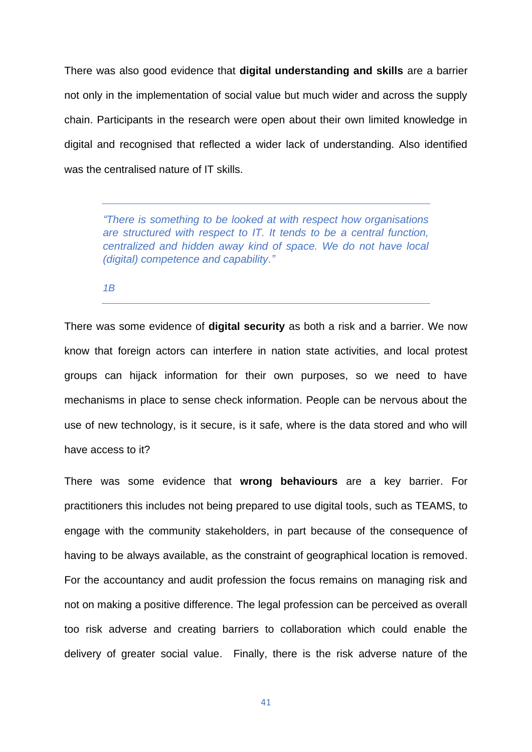There was also good evidence that **digital understanding and skills** are a barrier not only in the implementation of social value but much wider and across the supply chain. Participants in the research were open about their own limited knowledge in digital and recognised that reflected a wider lack of understanding. Also identified was the centralised nature of IT skills.

*"There is something to be looked at with respect how organisations are structured with respect to IT. It tends to be a central function, centralized and hidden away kind of space. We do not have local (digital) competence and capability."*

*1B* 

There was some evidence of **digital security** as both a risk and a barrier. We now know that foreign actors can interfere in nation state activities, and local protest groups can hijack information for their own purposes, so we need to have mechanisms in place to sense check information. People can be nervous about the use of new technology, is it secure, is it safe, where is the data stored and who will have access to it?

There was some evidence that **wrong behaviours** are a key barrier. For practitioners this includes not being prepared to use digital tools, such as TEAMS, to engage with the community stakeholders, in part because of the consequence of having to be always available, as the constraint of geographical location is removed. For the accountancy and audit profession the focus remains on managing risk and not on making a positive difference. The legal profession can be perceived as overall too risk adverse and creating barriers to collaboration which could enable the delivery of greater social value. Finally, there is the risk adverse nature of the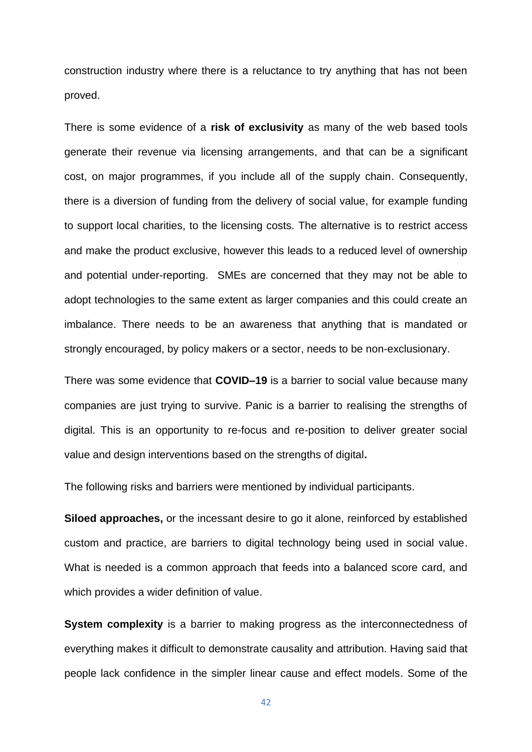construction industry where there is a reluctance to try anything that has not been proved.

There is some evidence of a **risk of exclusivity** as many of the web based tools generate their revenue via licensing arrangements, and that can be a significant cost, on major programmes, if you include all of the supply chain. Consequently, there is a diversion of funding from the delivery of social value, for example funding to support local charities, to the licensing costs. The alternative is to restrict access and make the product exclusive, however this leads to a reduced level of ownership and potential under-reporting. SMEs are concerned that they may not be able to adopt technologies to the same extent as larger companies and this could create an imbalance. There needs to be an awareness that anything that is mandated or strongly encouraged, by policy makers or a sector, needs to be non-exclusionary.

There was some evidence that **COVID–19** is a barrier to social value because many companies are just trying to survive. Panic is a barrier to realising the strengths of digital. This is an opportunity to re-focus and re-position to deliver greater social value and design interventions based on the strengths of digital**.**

The following risks and barriers were mentioned by individual participants.

**Siloed approaches,** or the incessant desire to go it alone, reinforced by established custom and practice, are barriers to digital technology being used in social value. What is needed is a common approach that feeds into a balanced score card, and which provides a wider definition of value.

**System complexity** is a barrier to making progress as the interconnectedness of everything makes it difficult to demonstrate causality and attribution. Having said that people lack confidence in the simpler linear cause and effect models. Some of the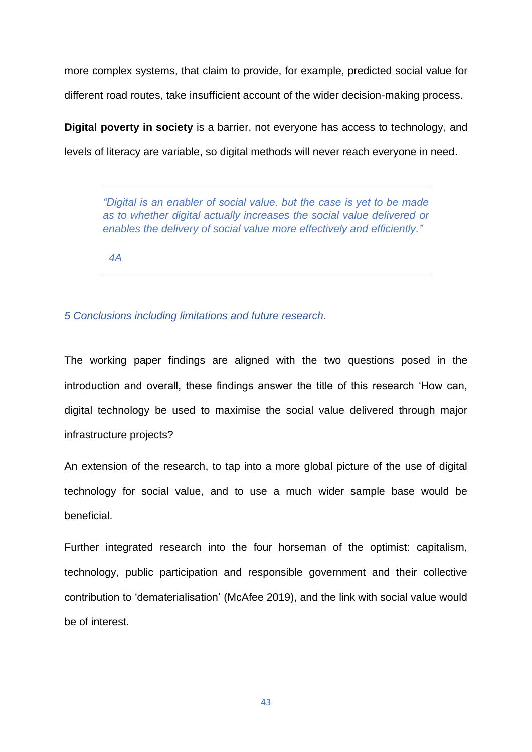more complex systems, that claim to provide, for example, predicted social value for different road routes, take insufficient account of the wider decision-making process.

**Digital poverty in society** is a barrier, not everyone has access to technology, and levels of literacy are variable, so digital methods will never reach everyone in need.

*"Digital is an enabler of social value, but the case is yet to be made as to whether digital actually increases the social value delivered or enables the delivery of social value more effectively and efficiently."*

 *4A* 

### *5 Conclusions including limitations and future research.*

The working paper findings are aligned with the two questions posed in the introduction and overall, these findings answer the title of this research 'How can, digital technology be used to maximise the social value delivered through major infrastructure projects?

An extension of the research, to tap into a more global picture of the use of digital technology for social value, and to use a much wider sample base would be beneficial.

Further integrated research into the four horseman of the optimist: capitalism, technology, public participation and responsible government and their collective contribution to 'dematerialisation' (McAfee 2019), and the link with social value would be of interest.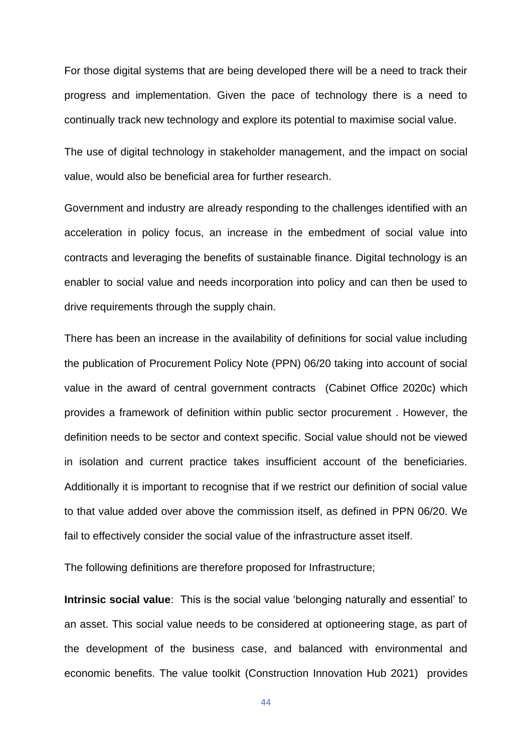For those digital systems that are being developed there will be a need to track their progress and implementation. Given the pace of technology there is a need to continually track new technology and explore its potential to maximise social value.

The use of digital technology in stakeholder management, and the impact on social value, would also be beneficial area for further research.

Government and industry are already responding to the challenges identified with an acceleration in policy focus, an increase in the embedment of social value into contracts and leveraging the benefits of sustainable finance. Digital technology is an enabler to social value and needs incorporation into policy and can then be used to drive requirements through the supply chain.

There has been an increase in the availability of definitions for social value including the publication of Procurement Policy Note (PPN) 06/20 taking into account of social value in the award of central government contracts (Cabinet Office 2020c) which provides a framework of definition within public sector procurement . However, the definition needs to be sector and context specific. Social value should not be viewed in isolation and current practice takes insufficient account of the beneficiaries. Additionally it is important to recognise that if we restrict our definition of social value to that value added over above the commission itself, as defined in PPN 06/20. We fail to effectively consider the social value of the infrastructure asset itself.

The following definitions are therefore proposed for Infrastructure;

**Intrinsic social value**: This is the social value 'belonging naturally and essential' to an asset. This social value needs to be considered at optioneering stage, as part of the development of the business case, and balanced with environmental and economic benefits. The value toolkit (Construction Innovation Hub 2021) provides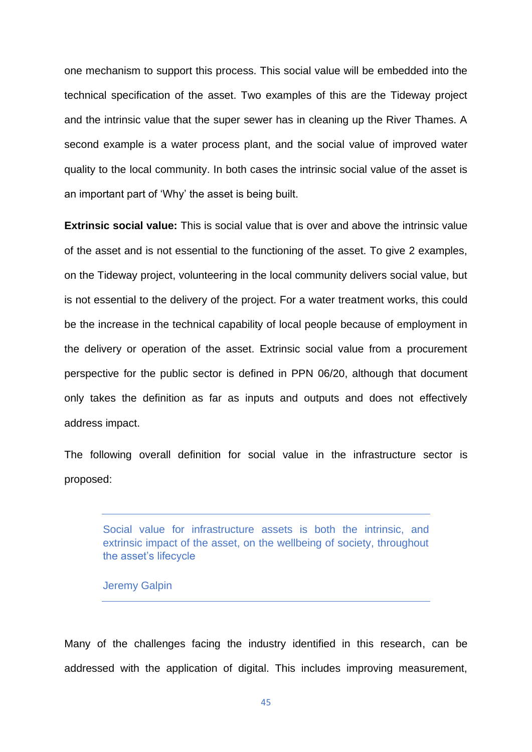one mechanism to support this process. This social value will be embedded into the technical specification of the asset. Two examples of this are the Tideway project and the intrinsic value that the super sewer has in cleaning up the River Thames. A second example is a water process plant, and the social value of improved water quality to the local community. In both cases the intrinsic social value of the asset is an important part of 'Why' the asset is being built.

**Extrinsic social value:** This is social value that is over and above the intrinsic value of the asset and is not essential to the functioning of the asset. To give 2 examples, on the Tideway project, volunteering in the local community delivers social value, but is not essential to the delivery of the project. For a water treatment works, this could be the increase in the technical capability of local people because of employment in the delivery or operation of the asset. Extrinsic social value from a procurement perspective for the public sector is defined in PPN 06/20, although that document only takes the definition as far as inputs and outputs and does not effectively address impact.

The following overall definition for social value in the infrastructure sector is proposed:

Social value for infrastructure assets is both the intrinsic, and extrinsic impact of the asset, on the wellbeing of society, throughout the asset's lifecycle

Jeremy Galpin

Many of the challenges facing the industry identified in this research, can be addressed with the application of digital. This includes improving measurement,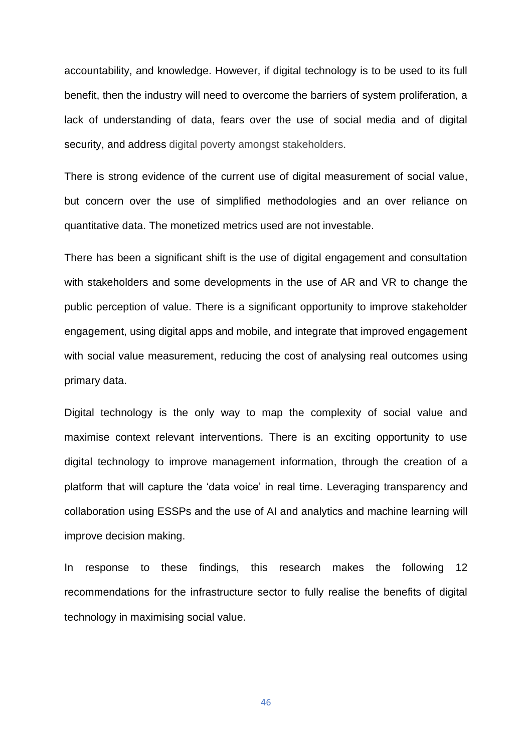accountability, and knowledge. However, if digital technology is to be used to its full benefit, then the industry will need to overcome the barriers of system proliferation, a lack of understanding of data, fears over the use of social media and of digital security, and address digital poverty amongst stakeholders.

There is strong evidence of the current use of digital measurement of social value, but concern over the use of simplified methodologies and an over reliance on quantitative data. The monetized metrics used are not investable.

There has been a significant shift is the use of digital engagement and consultation with stakeholders and some developments in the use of AR and VR to change the public perception of value. There is a significant opportunity to improve stakeholder engagement, using digital apps and mobile, and integrate that improved engagement with social value measurement, reducing the cost of analysing real outcomes using primary data.

Digital technology is the only way to map the complexity of social value and maximise context relevant interventions. There is an exciting opportunity to use digital technology to improve management information, through the creation of a platform that will capture the 'data voice' in real time. Leveraging transparency and collaboration using ESSPs and the use of AI and analytics and machine learning will improve decision making.

In response to these findings, this research makes the following 12 recommendations for the infrastructure sector to fully realise the benefits of digital technology in maximising social value.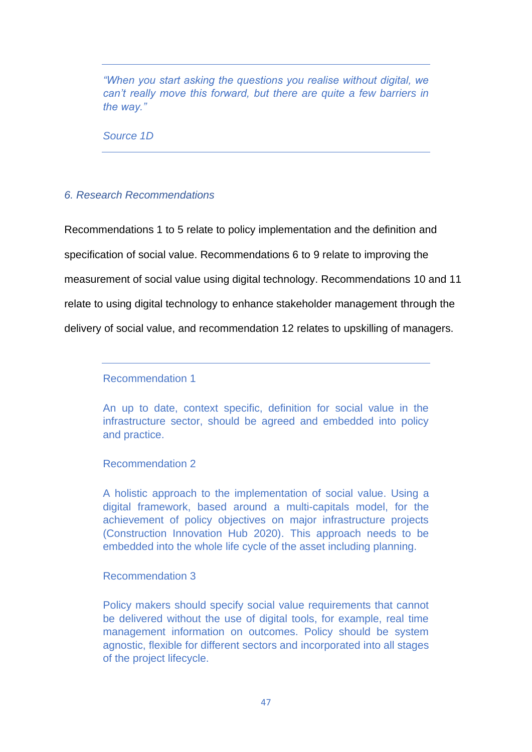*"When you start asking the questions you realise without digital, we can't really move this forward, but there are quite a few barriers in the way."*

*Source 1D* 

### *6. Research Recommendations*

Recommendations 1 to 5 relate to policy implementation and the definition and specification of social value. Recommendations 6 to 9 relate to improving the measurement of social value using digital technology. Recommendations 10 and 11 relate to using digital technology to enhance stakeholder management through the delivery of social value, and recommendation 12 relates to upskilling of managers.

Recommendation 1

An up to date, context specific, definition for social value in the infrastructure sector, should be agreed and embedded into policy and practice.

Recommendation 2

A holistic approach to the implementation of social value. Using a digital framework, based around a multi-capitals model, for the achievement of policy objectives on major infrastructure projects (Construction Innovation Hub 2020). This approach needs to be embedded into the whole life cycle of the asset including planning.

Recommendation 3

Policy makers should specify social value requirements that cannot be delivered without the use of digital tools, for example, real time management information on outcomes. Policy should be system agnostic, flexible for different sectors and incorporated into all stages of the project lifecycle.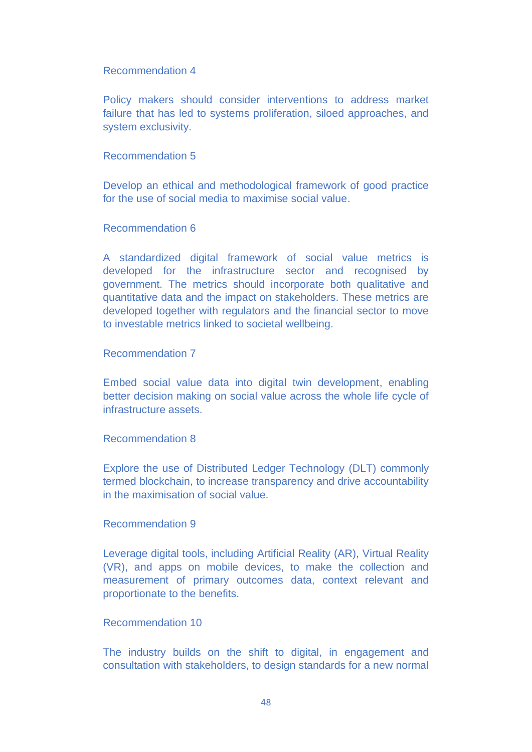### Recommendation 4

Policy makers should consider interventions to address market failure that has led to systems proliferation, siloed approaches, and system exclusivity.

### Recommendation 5

Develop an ethical and methodological framework of good practice for the use of social media to maximise social value.

### Recommendation 6

A standardized digital framework of social value metrics is developed for the infrastructure sector and recognised by government. The metrics should incorporate both qualitative and quantitative data and the impact on stakeholders. These metrics are developed together with regulators and the financial sector to move to investable metrics linked to societal wellbeing.

### Recommendation 7

Embed social value data into digital twin development, enabling better decision making on social value across the whole life cycle of infrastructure assets.

#### Recommendation 8

Explore the use of Distributed Ledger Technology (DLT) commonly termed blockchain, to increase transparency and drive accountability in the maximisation of social value.

### Recommendation 9

Leverage digital tools, including Artificial Reality (AR), Virtual Reality (VR), and apps on mobile devices, to make the collection and measurement of primary outcomes data, context relevant and proportionate to the benefits.

### Recommendation 10

The industry builds on the shift to digital, in engagement and consultation with stakeholders, to design standards for a new normal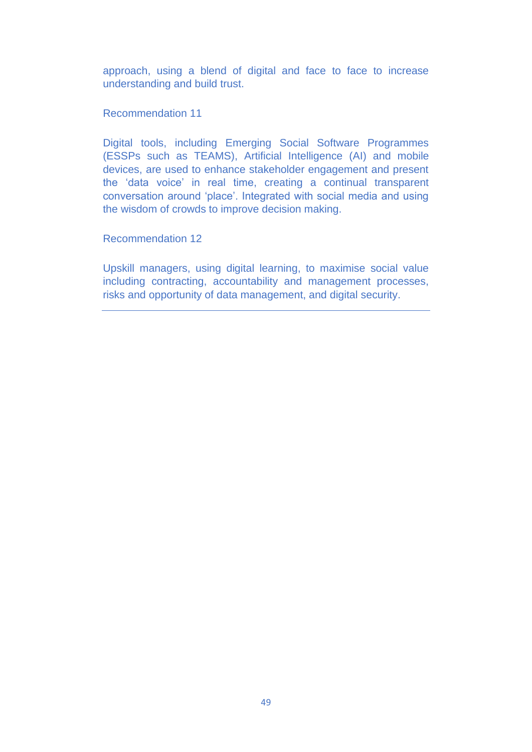approach, using a blend of digital and face to face to increase understanding and build trust.

Recommendation 11

Digital tools, including Emerging Social Software Programmes (ESSPs such as TEAMS), Artificial Intelligence (AI) and mobile devices, are used to enhance stakeholder engagement and present the 'data voice' in real time, creating a continual transparent conversation around 'place'. Integrated with social media and using the wisdom of crowds to improve decision making.

Recommendation 12

Upskill managers, using digital learning, to maximise social value including contracting, accountability and management processes, risks and opportunity of data management, and digital security.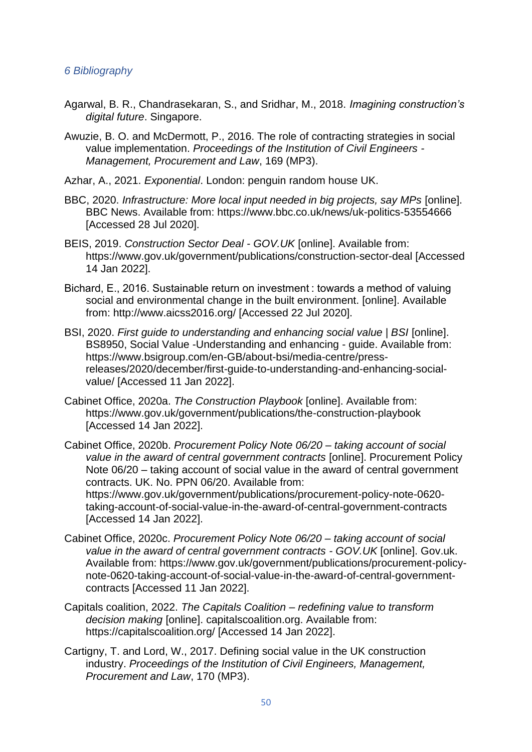### *6 Bibliography*

- Agarwal, B. R., Chandrasekaran, S., and Sridhar, M., 2018. *Imagining construction's digital future*. Singapore.
- Awuzie, B. O. and McDermott, P., 2016. The role of contracting strategies in social value implementation. *Proceedings of the Institution of Civil Engineers - Management, Procurement and Law*, 169 (MP3).
- Azhar, A., 2021. *Exponential*. London: penguin random house UK.
- BBC, 2020. *Infrastructure: More local input needed in big projects, say MPs* [online]. BBC News. Available from: https://www.bbc.co.uk/news/uk-politics-53554666 [Accessed 28 Jul 2020].
- BEIS, 2019. *Construction Sector Deal - GOV.UK* [online]. Available from: https://www.gov.uk/government/publications/construction-sector-deal [Accessed 14 Jan 2022].
- Bichard, E., 2016. Sustainable return on investment : towards a method of valuing social and environmental change in the built environment. [online]. Available from: http://www.aicss2016.org/ [Accessed 22 Jul 2020].
- BSI, 2020. *First guide to understanding and enhancing social value | BSI* [online]. BS8950, Social Value -Understanding and enhancing - guide. Available from: https://www.bsigroup.com/en-GB/about-bsi/media-centre/pressreleases/2020/december/first-guide-to-understanding-and-enhancing-socialvalue/ [Accessed 11 Jan 2022].
- Cabinet Office, 2020a. *The Construction Playbook* [online]. Available from: https://www.gov.uk/government/publications/the-construction-playbook [Accessed 14 Jan 2022].
- Cabinet Office, 2020b. *Procurement Policy Note 06/20 – taking account of social value in the award of central government contracts* [online]. Procurement Policy Note 06/20 – taking account of social value in the award of central government contracts. UK. No. PPN 06/20. Available from: https://www.gov.uk/government/publications/procurement-policy-note-0620-

taking-account-of-social-value-in-the-award-of-central-government-contracts [Accessed 14 Jan 2022].

- Cabinet Office, 2020c. *Procurement Policy Note 06/20 – taking account of social value in the award of central government contracts - GOV.UK* [online]. Gov.uk. Available from: https://www.gov.uk/government/publications/procurement-policynote-0620-taking-account-of-social-value-in-the-award-of-central-governmentcontracts [Accessed 11 Jan 2022].
- Capitals coalition, 2022. *The Capitals Coalition – redefining value to transform decision making* [online]. capitalscoalition.org. Available from: https://capitalscoalition.org/ [Accessed 14 Jan 2022].
- Cartigny, T. and Lord, W., 2017. Defining social value in the UK construction industry. *Proceedings of the Institution of Civil Engineers, Management, Procurement and Law*, 170 (MP3).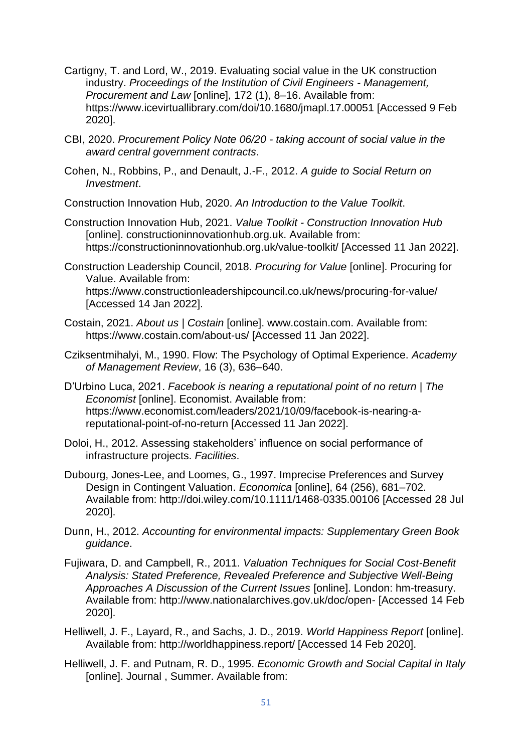- Cartigny, T. and Lord, W., 2019. Evaluating social value in the UK construction industry. *Proceedings of the Institution of Civil Engineers - Management, Procurement and Law* [online], 172 (1), 8–16. Available from: https://www.icevirtuallibrary.com/doi/10.1680/jmapl.17.00051 [Accessed 9 Feb 2020].
- CBI, 2020. *Procurement Policy Note 06/20 - taking account of social value in the award central government contracts*.
- Cohen, N., Robbins, P., and Denault, J.-F., 2012. *A guide to Social Return on Investment*.

Construction Innovation Hub, 2020. *An Introduction to the Value Toolkit*.

- Construction Innovation Hub, 2021. *Value Toolkit - Construction Innovation Hub* [online]. constructioninnovationhub.org.uk. Available from: https://constructioninnovationhub.org.uk/value-toolkit/ [Accessed 11 Jan 2022].
- Construction Leadership Council, 2018. *Procuring for Value* [online]. Procuring for Value. Available from: https://www.constructionleadershipcouncil.co.uk/news/procuring-for-value/ [Accessed 14 Jan 2022].
- Costain, 2021. *About us | Costain* [online]. www.costain.com. Available from: https://www.costain.com/about-us/ [Accessed 11 Jan 2022].
- Cziksentmihalyi, M., 1990. Flow: The Psychology of Optimal Experience. *Academy of Management Review*, 16 (3), 636–640.
- D'Urbino Luca, 2021. *Facebook is nearing a reputational point of no return | The Economist* [online]. Economist. Available from: https://www.economist.com/leaders/2021/10/09/facebook-is-nearing-areputational-point-of-no-return [Accessed 11 Jan 2022].
- Doloi, H., 2012. Assessing stakeholders' influence on social performance of infrastructure projects. *Facilities*.
- Dubourg, Jones-Lee, and Loomes, G., 1997. Imprecise Preferences and Survey Design in Contingent Valuation. *Economica* [online], 64 (256), 681–702. Available from: http://doi.wiley.com/10.1111/1468-0335.00106 [Accessed 28 Jul 2020].
- Dunn, H., 2012. *Accounting for environmental impacts: Supplementary Green Book guidance*.
- Fujiwara, D. and Campbell, R., 2011. *Valuation Techniques for Social Cost-Benefit Analysis: Stated Preference, Revealed Preference and Subjective Well-Being Approaches A Discussion of the Current Issues* [online]. London: hm-treasury. Available from: http://www.nationalarchives.gov.uk/doc/open- [Accessed 14 Feb 2020].
- Helliwell, J. F., Layard, R., and Sachs, J. D., 2019. *World Happiness Report* [online]. Available from: http://worldhappiness.report/ [Accessed 14 Feb 2020].
- Helliwell, J. F. and Putnam, R. D., 1995. *Economic Growth and Social Capital in Italy* [online]. Journal , Summer. Available from: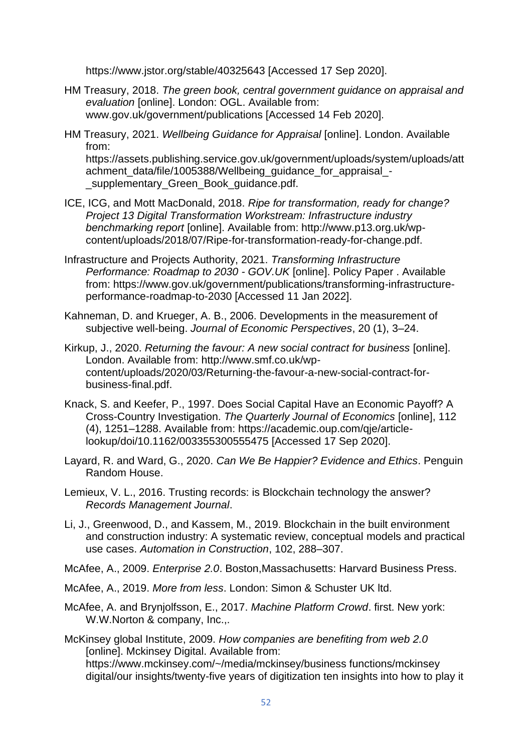https://www.jstor.org/stable/40325643 [Accessed 17 Sep 2020].

- HM Treasury, 2018. *The green book, central government guidance on appraisal and evaluation* [online]. London: OGL. Available from: www.gov.uk/government/publications [Accessed 14 Feb 2020].
- HM Treasury, 2021. *Wellbeing Guidance for Appraisal* [online]. London. Available from: https://assets.publishing.service.gov.uk/government/uploads/system/uploads/att achment\_data/file/1005388/Wellbeing\_guidance\_for\_appraisal\_supplementary Green Book quidance.pdf.
- ICE, ICG, and Mott MacDonald, 2018. *Ripe for transformation, ready for change? Project 13 Digital Transformation Workstream: Infrastructure industry benchmarking report* [online]. Available from: http://www.p13.org.uk/wpcontent/uploads/2018/07/Ripe-for-transformation-ready-for-change.pdf.
- Infrastructure and Projects Authority, 2021. *Transforming Infrastructure Performance: Roadmap to 2030 - GOV.UK* [online]. Policy Paper . Available from: https://www.gov.uk/government/publications/transforming-infrastructureperformance-roadmap-to-2030 [Accessed 11 Jan 2022].
- Kahneman, D. and Krueger, A. B., 2006. Developments in the measurement of subjective well-being. *Journal of Economic Perspectives*, 20 (1), 3–24.
- Kirkup, J., 2020. *Returning the favour: A new social contract for business* [online]. London. Available from: http://www.smf.co.uk/wpcontent/uploads/2020/03/Returning-the-favour-a-new-social-contract-forbusiness-final.pdf.
- Knack, S. and Keefer, P., 1997. Does Social Capital Have an Economic Payoff? A Cross-Country Investigation. *The Quarterly Journal of Economics* [online], 112 (4), 1251–1288. Available from: https://academic.oup.com/qje/articlelookup/doi/10.1162/003355300555475 [Accessed 17 Sep 2020].
- Layard, R. and Ward, G., 2020. *Can We Be Happier? Evidence and Ethics*. Penguin Random House.
- Lemieux, V. L., 2016. Trusting records: is Blockchain technology the answer? *Records Management Journal*.
- Li, J., Greenwood, D., and Kassem, M., 2019. Blockchain in the built environment and construction industry: A systematic review, conceptual models and practical use cases. *Automation in Construction*, 102, 288–307.
- McAfee, A., 2009. *Enterprise 2.0*. Boston,Massachusetts: Harvard Business Press.
- McAfee, A., 2019. *More from less*. London: Simon & Schuster UK ltd.
- McAfee, A. and Brynjolfsson, E., 2017. *Machine Platform Crowd*. first. New york: W.W.Norton & company, Inc.,.

McKinsey global Institute, 2009. *How companies are benefiting from web 2.0* [online]. Mckinsey Digital. Available from: https://www.mckinsey.com/~/media/mckinsey/business functions/mckinsey digital/our insights/twenty-five years of digitization ten insights into how to play it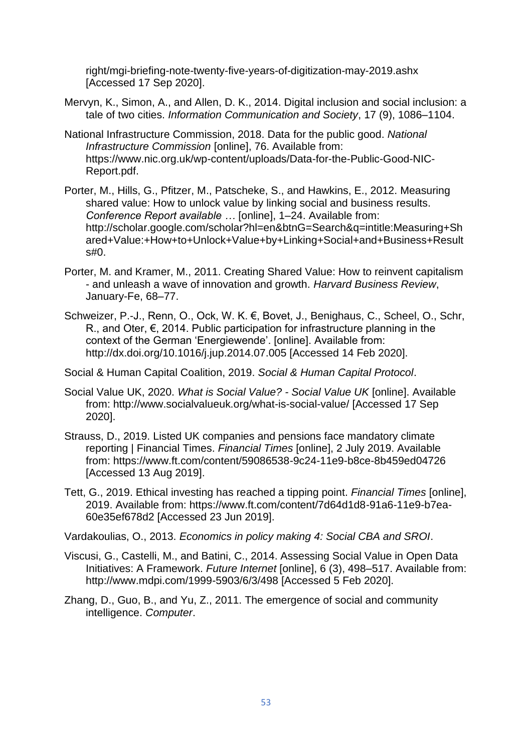right/mgi-briefing-note-twenty-five-years-of-digitization-may-2019.ashx [Accessed 17 Sep 2020].

- Mervyn, K., Simon, A., and Allen, D. K., 2014. Digital inclusion and social inclusion: a tale of two cities. *Information Communication and Society*, 17 (9), 1086–1104.
- National Infrastructure Commission, 2018. Data for the public good. *National Infrastructure Commission* [online], 76. Available from: https://www.nic.org.uk/wp-content/uploads/Data-for-the-Public-Good-NIC-Report.pdf.
- Porter, M., Hills, G., Pfitzer, M., Patscheke, S., and Hawkins, E., 2012. Measuring shared value: How to unlock value by linking social and business results. *Conference Report available …* [online], 1–24. Available from: http://scholar.google.com/scholar?hl=en&btnG=Search&q=intitle:Measuring+Sh ared+Value:+How+to+Unlock+Value+by+Linking+Social+and+Business+Result s#0.
- Porter, M. and Kramer, M., 2011. Creating Shared Value: How to reinvent capitalism - and unleash a wave of innovation and growth. *Harvard Business Review*, January-Fe, 68–77.
- Schweizer, P.-J., Renn, O., Ock, W. K. €, Bovet, J., Benighaus, C., Scheel, O., Schr, R., and Oter, €, 2014. Public participation for infrastructure planning in the context of the German 'Energiewende'. [online]. Available from: http://dx.doi.org/10.1016/j.jup.2014.07.005 [Accessed 14 Feb 2020].

Social & Human Capital Coalition, 2019. *Social & Human Capital Protocol*.

- Social Value UK, 2020. *What is Social Value? - Social Value UK* [online]. Available from: http://www.socialvalueuk.org/what-is-social-value/ [Accessed 17 Sep 2020].
- Strauss, D., 2019. Listed UK companies and pensions face mandatory climate reporting | Financial Times. *Financial Times* [online], 2 July 2019. Available from: https://www.ft.com/content/59086538-9c24-11e9-b8ce-8b459ed04726 [Accessed 13 Aug 2019].
- Tett, G., 2019. Ethical investing has reached a tipping point. *Financial Times* [online], 2019. Available from: https://www.ft.com/content/7d64d1d8-91a6-11e9-b7ea-60e35ef678d2 [Accessed 23 Jun 2019].

Vardakoulias, O., 2013. *Economics in policy making 4: Social CBA and SROI*.

- Viscusi, G., Castelli, M., and Batini, C., 2014. Assessing Social Value in Open Data Initiatives: A Framework. *Future Internet* [online], 6 (3), 498–517. Available from: http://www.mdpi.com/1999-5903/6/3/498 [Accessed 5 Feb 2020].
- Zhang, D., Guo, B., and Yu, Z., 2011. The emergence of social and community intelligence. *Computer*.